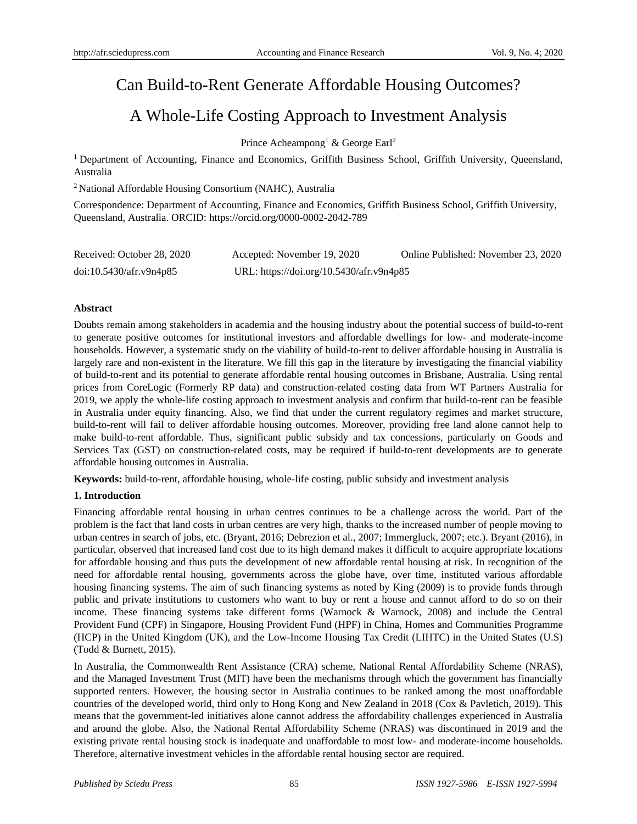# Can Build-to-Rent Generate Affordable Housing Outcomes?

# A Whole-Life Costing Approach to Investment Analysis

Prince Acheampong<sup>1</sup> & George Earl<sup>2</sup>

<sup>1</sup> Department of Accounting, Finance and Economics, Griffith Business School, Griffith University, Queensland, Australia

<sup>2</sup>National Affordable Housing Consortium (NAHC), Australia

Correspondence: Department of Accounting, Finance and Economics, Griffith Business School, Griffith University, Queensland, Australia. ORCID: https://orcid.org/0000-0002-2042-789

| Received: October 28, 2020 | Accepted: November 19, 2020              | Online Published: November 23, 2020 |
|----------------------------|------------------------------------------|-------------------------------------|
| doi:10.5430/afr.v9n4p85    | URL: https://doi.org/10.5430/afr.v9n4p85 |                                     |

# **Abstract**

Doubts remain among stakeholders in academia and the housing industry about the potential success of build-to-rent to generate positive outcomes for institutional investors and affordable dwellings for low- and moderate-income households. However, a systematic study on the viability of build-to-rent to deliver affordable housing in Australia is largely rare and non-existent in the literature. We fill this gap in the literature by investigating the financial viability of build-to-rent and its potential to generate affordable rental housing outcomes in Brisbane, Australia. Using rental prices from CoreLogic (Formerly RP data) and construction-related costing data from WT Partners Australia for 2019, we apply the whole-life costing approach to investment analysis and confirm that build-to-rent can be feasible in Australia under equity financing. Also, we find that under the current regulatory regimes and market structure, build-to-rent will fail to deliver affordable housing outcomes. Moreover, providing free land alone cannot help to make build-to-rent affordable. Thus, significant public subsidy and tax concessions, particularly on Goods and Services Tax (GST) on construction-related costs, may be required if build-to-rent developments are to generate affordable housing outcomes in Australia.

**Keywords:** build-to-rent, affordable housing, whole-life costing, public subsidy and investment analysis

## **1. Introduction**

Financing affordable rental housing in urban centres continues to be a challenge across the world. Part of the problem is the fact that land costs in urban centres are very high, thanks to the increased number of people moving to urban centres in search of jobs, etc. (Bryant, 2016; Debrezion et al., 2007; Immergluck, 2007; etc.). Bryant (2016), in particular, observed that increased land cost due to its high demand makes it difficult to acquire appropriate locations for affordable housing and thus puts the development of new affordable rental housing at risk. In recognition of the need for affordable rental housing, governments across the globe have, over time, instituted various affordable housing financing systems. The aim of such financing systems as noted by King (2009) is to provide funds through public and private institutions to customers who want to buy or rent a house and cannot afford to do so on their income. These financing systems take different forms (Warnock & Warnock, 2008) and include the Central Provident Fund (CPF) in Singapore, Housing Provident Fund (HPF) in China, Homes and Communities Programme (HCP) in the United Kingdom (UK), and the Low-Income Housing Tax Credit (LIHTC) in the United States (U.S) (Todd & Burnett, 2015).

In Australia, the Commonwealth Rent Assistance (CRA) scheme, National Rental Affordability Scheme (NRAS), and the Managed Investment Trust (MIT) have been the mechanisms through which the government has financially supported renters. However, the housing sector in Australia continues to be ranked among the most unaffordable countries of the developed world, third only to Hong Kong and New Zealand in 2018 (Cox & Pavletich, 2019). This means that the government-led initiatives alone cannot address the affordability challenges experienced in Australia and around the globe. Also, the National Rental Affordability Scheme (NRAS) was discontinued in 2019 and the existing private rental housing stock is inadequate and unaffordable to most low- and moderate-income households. Therefore, alternative investment vehicles in the affordable rental housing sector are required.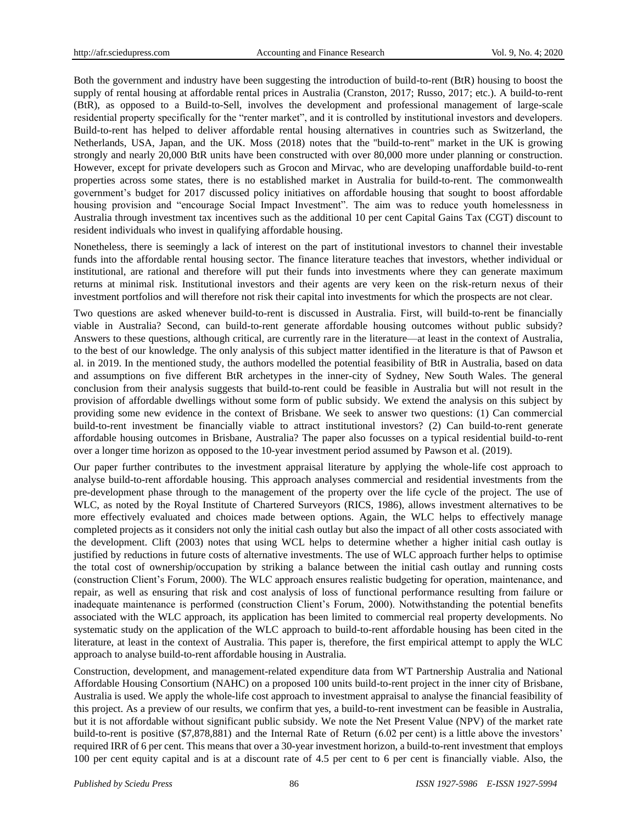Both the government and industry have been suggesting the introduction of build-to-rent (BtR) housing to boost the supply of rental housing at affordable rental prices in Australia (Cranston, 2017; Russo, 2017; etc.). A build-to-rent (BtR), as opposed to a Build-to-Sell, involves the development and professional management of large-scale residential property specifically for the "renter market", and it is controlled by institutional investors and developers. Build-to-rent has helped to deliver affordable rental housing alternatives in countries such as Switzerland, the Netherlands, USA, Japan, and the UK. Moss (2018) notes that the "build-to-rent" market in the UK is growing strongly and nearly 20,000 BtR units have been constructed with over 80,000 more under planning or construction. However, except for private developers such as Grocon and Mirvac, who are developing unaffordable build-to-rent properties across some states, there is no established market in Australia for build-to-rent. The commonwealth government's budget for 2017 discussed policy initiatives on affordable housing that sought to boost affordable housing provision and "encourage Social Impact Investment". The aim was to reduce youth homelessness in Australia through investment tax incentives such as the additional 10 per cent Capital Gains Tax (CGT) discount to resident individuals who invest in qualifying affordable housing.

Nonetheless, there is seemingly a lack of interest on the part of institutional investors to channel their investable funds into the affordable rental housing sector. The finance literature teaches that investors, whether individual or institutional, are rational and therefore will put their funds into investments where they can generate maximum returns at minimal risk. Institutional investors and their agents are very keen on the risk-return nexus of their investment portfolios and will therefore not risk their capital into investments for which the prospects are not clear.

Two questions are asked whenever build-to-rent is discussed in Australia. First, will build-to-rent be financially viable in Australia? Second, can build-to-rent generate affordable housing outcomes without public subsidy? Answers to these questions, although critical, are currently rare in the literature—at least in the context of Australia, to the best of our knowledge. The only analysis of this subject matter identified in the literature is that of Pawson et al. in 2019. In the mentioned study, the authors modelled the potential feasibility of BtR in Australia, based on data and assumptions on five different BtR archetypes in the inner-city of Sydney, New South Wales. The general conclusion from their analysis suggests that build-to-rent could be feasible in Australia but will not result in the provision of affordable dwellings without some form of public subsidy. We extend the analysis on this subject by providing some new evidence in the context of Brisbane. We seek to answer two questions: (1) Can commercial build-to-rent investment be financially viable to attract institutional investors? (2) Can build-to-rent generate affordable housing outcomes in Brisbane, Australia? The paper also focusses on a typical residential build-to-rent over a longer time horizon as opposed to the 10-year investment period assumed by Pawson et al. (2019).

Our paper further contributes to the investment appraisal literature by applying the whole-life cost approach to analyse build-to-rent affordable housing. This approach analyses commercial and residential investments from the pre-development phase through to the management of the property over the life cycle of the project. The use of WLC, as noted by the Royal Institute of Chartered Surveyors (RICS, 1986), allows investment alternatives to be more effectively evaluated and choices made between options. Again, the WLC helps to effectively manage completed projects as it considers not only the initial cash outlay but also the impact of all other costs associated with the development. Clift (2003) notes that using WCL helps to determine whether a higher initial cash outlay is justified by reductions in future costs of alternative investments. The use of WLC approach further helps to optimise the total cost of ownership/occupation by striking a balance between the initial cash outlay and running costs (construction Client's Forum, 2000). The WLC approach ensures realistic budgeting for operation, maintenance, and repair, as well as ensuring that risk and cost analysis of loss of functional performance resulting from failure or inadequate maintenance is performed (construction Client's Forum, 2000). Notwithstanding the potential benefits associated with the WLC approach, its application has been limited to commercial real property developments. No systematic study on the application of the WLC approach to build-to-rent affordable housing has been cited in the literature, at least in the context of Australia. This paper is, therefore, the first empirical attempt to apply the WLC approach to analyse build-to-rent affordable housing in Australia.

Construction, development, and management-related expenditure data from WT Partnership Australia and National Affordable Housing Consortium (NAHC) on a proposed 100 units build-to-rent project in the inner city of Brisbane, Australia is used. We apply the whole-life cost approach to investment appraisal to analyse the financial feasibility of this project. As a preview of our results, we confirm that yes, a build-to-rent investment can be feasible in Australia, but it is not affordable without significant public subsidy. We note the Net Present Value (NPV) of the market rate build-to-rent is positive (\$7,878,881) and the Internal Rate of Return (6.02 per cent) is a little above the investors' required IRR of 6 per cent. This means that over a 30-year investment horizon, a build-to-rent investment that employs 100 per cent equity capital and is at a discount rate of 4.5 per cent to 6 per cent is financially viable. Also, the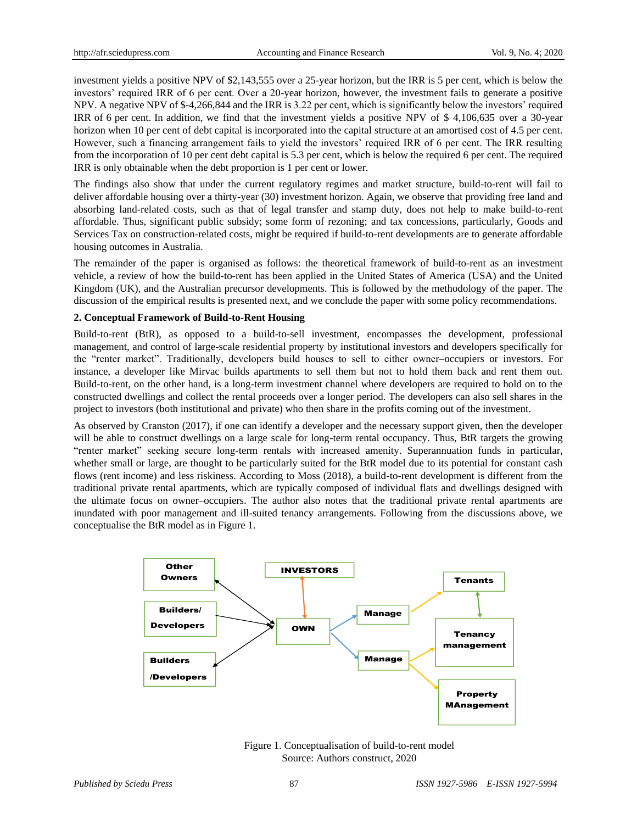investment yields a positive NPV of \$2,143,555 over a 25-year horizon, but the IRR is 5 per cent, which is below the investors' required IRR of 6 per cent. Over a 20-year horizon, however, the investment fails to generate a positive NPV. A negative NPV of \$-4,266,844 and the IRR is 3.22 per cent, which is significantly below the investors' required IRR of 6 per cent. In addition, we find that the investment yields a positive NPV of \$ 4,106,635 over a 30-year horizon when 10 per cent of debt capital is incorporated into the capital structure at an amortised cost of 4.5 per cent. However, such a financing arrangement fails to yield the investors' required IRR of 6 per cent. The IRR resulting from the incorporation of 10 per cent debt capital is 5.3 per cent, which is below the required 6 per cent. The required IRR is only obtainable when the debt proportion is 1 per cent or lower.

The findings also show that under the current regulatory regimes and market structure, build-to-rent will fail to deliver affordable housing over a thirty-year (30) investment horizon. Again, we observe that providing free land and absorbing land-related costs, such as that of legal transfer and stamp duty, does not help to make build-to-rent affordable. Thus, significant public subsidy; some form of rezoning; and tax concessions, particularly, Goods and Services Tax on construction-related costs, might be required if build-to-rent developments are to generate affordable housing outcomes in Australia.

The remainder of the paper is organised as follows: the theoretical framework of build-to-rent as an investment vehicle, a review of how the build-to-rent has been applied in the United States of America (USA) and the United Kingdom (UK), and the Australian precursor developments. This is followed by the methodology of the paper. The discussion of the empirical results is presented next, and we conclude the paper with some policy recommendations.

## **2. Conceptual Framework of Build-to-Rent Housing**

Build-to-rent (BtR), as opposed to a build-to-sell investment, encompasses the development, professional management, and control of large-scale residential property by institutional investors and developers specifically for the "renter market". Traditionally, developers build houses to sell to either owner–occupiers or investors. For instance, a developer like Mirvac builds apartments to sell them but not to hold them back and rent them out. Build-to-rent, on the other hand, is a long-term investment channel where developers are required to hold on to the constructed dwellings and collect the rental proceeds over a longer period. The developers can also sell shares in the project to investors (both institutional and private) who then share in the profits coming out of the investment.

As observed by Cranston (2017), if one can identify a developer and the necessary support given, then the developer will be able to construct dwellings on a large scale for long-term rental occupancy. Thus, BtR targets the growing "renter market" seeking secure long-term rentals with increased amenity. Superannuation funds in particular, whether small or large, are thought to be particularly suited for the BtR model due to its potential for constant cash flows (rent income) and less riskiness. According to Moss (2018), a build-to-rent development is different from the traditional private rental apartments, which are typically composed of individual flats and dwellings designed with the ultimate focus on owner–occupiers. The author also notes that the traditional private rental apartments are inundated with poor management and ill-suited tenancy arrangements. Following from the discussions above, we conceptualise the BtR model as in Figure 1.



Figure 1. Conceptualisation of build-to-rent model Source: Authors construct, 2020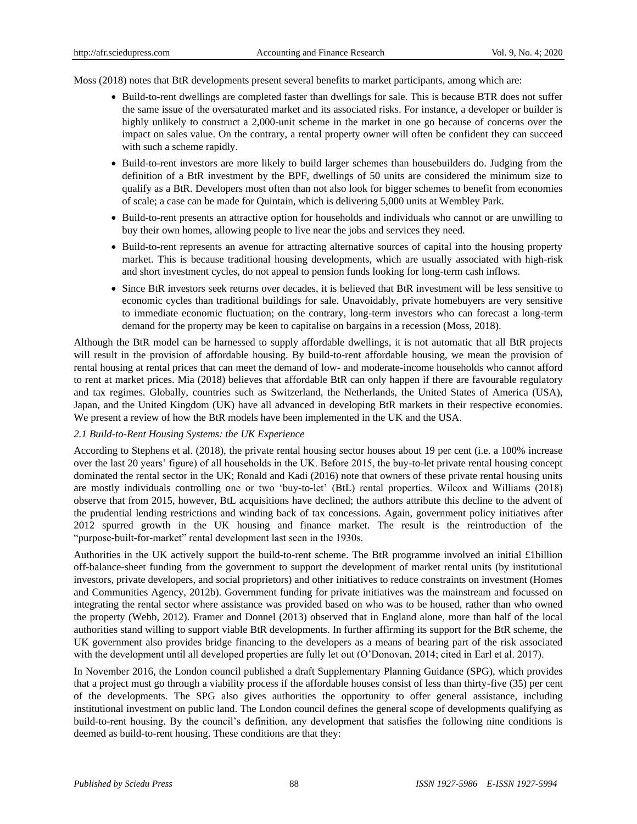Moss (2018) notes that BtR developments present several benefits to market participants, among which are:

- Build-to-rent dwellings are completed faster than dwellings for sale. This is because BTR does not suffer the same issue of the oversaturated market and its associated risks. For instance, a developer or builder is highly unlikely to construct a 2,000-unit scheme in the market in one go because of concerns over the impact on sales value. On the contrary, a rental property owner will often be confident they can succeed with such a scheme rapidly.
- Build-to-rent investors are more likely to build larger schemes than housebuilders do. Judging from the definition of a BtR investment by the BPF, dwellings of 50 units are considered the minimum size to qualify as a BtR. Developers most often than not also look for bigger schemes to benefit from economies of scale; a case can be made for Quintain, which is delivering 5,000 units at Wembley Park.
- Build-to-rent presents an attractive option for households and individuals who cannot or are unwilling to buy their own homes, allowing people to live near the jobs and services they need.
- Build-to-rent represents an avenue for attracting alternative sources of capital into the housing property market. This is because traditional housing developments, which are usually associated with high-risk and short investment cycles, do not appeal to pension funds looking for long-term cash inflows.
- Since BtR investors seek returns over decades, it is believed that BtR investment will be less sensitive to economic cycles than traditional buildings for sale. Unavoidably, private homebuyers are very sensitive to immediate economic fluctuation; on the contrary, long-term investors who can forecast a long-term demand for the property may be keen to capitalise on bargains in a recession (Moss, 2018).

Although the BtR model can be harnessed to supply affordable dwellings, it is not automatic that all BtR projects will result in the provision of affordable housing. By build-to-rent affordable housing, we mean the provision of rental housing at rental prices that can meet the demand of low- and moderate-income households who cannot afford to rent at market prices. Mia (2018) believes that affordable BtR can only happen if there are favourable regulatory and tax regimes. Globally, countries such as Switzerland, the Netherlands, the United States of America (USA), Japan, and the United Kingdom (UK) have all advanced in developing BtR markets in their respective economies. We present a review of how the BtR models have been implemented in the UK and the USA.

# *2.1 Build-to-Rent Housing Systems: the UK Experience*

According to Stephens et al. (2018), the private rental housing sector houses about 19 per cent (i.e. a 100% increase over the last 20 years' figure) of all households in the UK. Before 2015, the buy-to-let private rental housing concept dominated the rental sector in the UK; Ronald and Kadi (2016) note that owners of these private rental housing units are mostly individuals controlling one or two 'buy-to-let' (BtL) rental properties. Wilcox and Williams (2018) observe that from 2015, however, BtL acquisitions have declined; the authors attribute this decline to the advent of the prudential lending restrictions and winding back of tax concessions. Again, government policy initiatives after 2012 spurred growth in the UK housing and finance market. The result is the reintroduction of the "purpose-built-for-market" rental development last seen in the 1930s.

Authorities in the UK actively support the build-to-rent scheme. The BtR programme involved an initial £1billion off-balance-sheet funding from the government to support the development of market rental units (by institutional investors, private developers, and social proprietors) and other initiatives to reduce constraints on investment (Homes and Communities Agency, 2012b). Government funding for private initiatives was the mainstream and focussed on integrating the rental sector where assistance was provided based on who was to be housed, rather than who owned the property (Webb, 2012). Framer and Donnel (2013) observed that in England alone, more than half of the local authorities stand willing to support viable BtR developments. In further affirming its support for the BtR scheme, the UK government also provides bridge financing to the developers as a means of bearing part of the risk associated with the development until all developed properties are fully let out (O'Donovan, 2014; cited in Earl et al. 2017).

In November 2016, the London council published a draft Supplementary Planning Guidance (SPG), which provides that a project must go through a viability process if the affordable houses consist of less than thirty-five (35) per cent of the developments. The SPG also gives authorities the opportunity to offer general assistance, including institutional investment on public land. The London council defines the general scope of developments qualifying as build-to-rent housing. By the council's definition, any development that satisfies the following nine conditions is deemed as build-to-rent housing. These conditions are that they: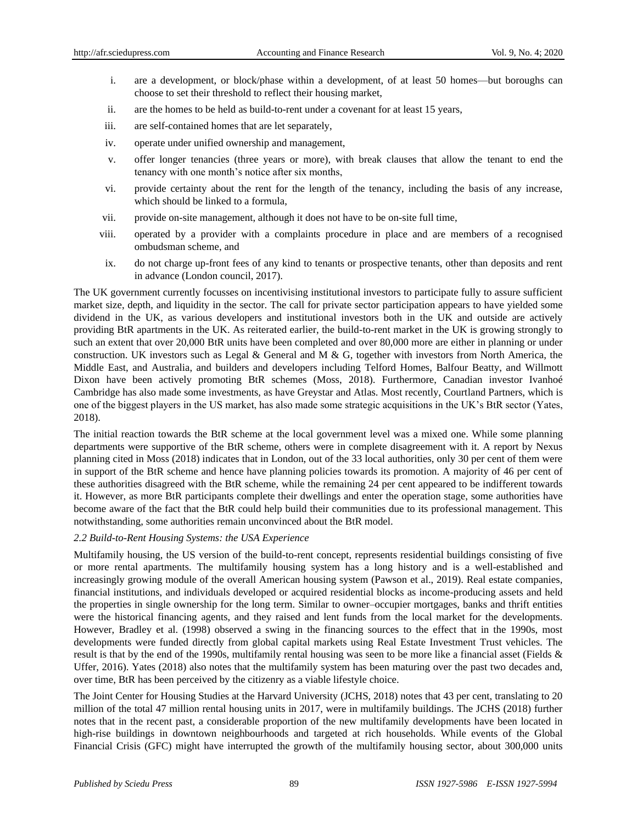- i. are a development, or block/phase within a development, of at least 50 homes—but boroughs can choose to set their threshold to reflect their housing market,
- ii. are the homes to be held as build-to-rent under a covenant for at least 15 years,
- iii. are self-contained homes that are let separately,
- iv. operate under unified ownership and management,
- v. offer longer tenancies (three years or more), with break clauses that allow the tenant to end the tenancy with one month's notice after six months,
- vi. provide certainty about the rent for the length of the tenancy, including the basis of any increase, which should be linked to a formula,
- vii. provide on-site management, although it does not have to be on-site full time,
- viii. operated by a provider with a complaints procedure in place and are members of a recognised ombudsman scheme, and
- ix. do not charge up-front fees of any kind to tenants or prospective tenants, other than deposits and rent in advance (London council, 2017).

The UK government currently focusses on incentivising institutional investors to participate fully to assure sufficient market size, depth, and liquidity in the sector. The call for private sector participation appears to have yielded some dividend in the UK, as various developers and institutional investors both in the UK and outside are actively providing BtR apartments in the UK. As reiterated earlier, the build-to-rent market in the UK is growing strongly to such an extent that over 20,000 BtR units have been completed and over 80,000 more are either in planning or under construction. UK investors such as Legal & General and M & G, together with investors from North America, the Middle East, and Australia, and builders and developers including Telford Homes, Balfour Beatty, and Willmott Dixon have been actively promoting BtR schemes (Moss, 2018). Furthermore, Canadian investor Ivanhoé Cambridge has also made some investments, as have Greystar and Atlas. Most recently, Courtland Partners, which is one of the biggest players in the US market, has also made some strategic acquisitions in the UK's BtR sector (Yates, 2018).

The initial reaction towards the BtR scheme at the local government level was a mixed one. While some planning departments were supportive of the BtR scheme, others were in complete disagreement with it. A report by Nexus planning cited in Moss (2018) indicates that in London, out of the 33 local authorities, only 30 per cent of them were in support of the BtR scheme and hence have planning policies towards its promotion. A majority of 46 per cent of these authorities disagreed with the BtR scheme, while the remaining 24 per cent appeared to be indifferent towards it. However, as more BtR participants complete their dwellings and enter the operation stage, some authorities have become aware of the fact that the BtR could help build their communities due to its professional management. This notwithstanding, some authorities remain unconvinced about the BtR model.

# *2.2 Build-to-Rent Housing Systems: the USA Experience*

Multifamily housing, the US version of the build-to-rent concept, represents residential buildings consisting of five or more rental apartments. The multifamily housing system has a long history and is a well-established and increasingly growing module of the overall American housing system (Pawson et al., 2019). Real estate companies, financial institutions, and individuals developed or acquired residential blocks as income-producing assets and held the properties in single ownership for the long term. Similar to owner–occupier mortgages, banks and thrift entities were the historical financing agents, and they raised and lent funds from the local market for the developments. However, Bradley et al. (1998) observed a swing in the financing sources to the effect that in the 1990s, most developments were funded directly from global capital markets using Real Estate Investment Trust vehicles. The result is that by the end of the 1990s, multifamily rental housing was seen to be more like a financial asset (Fields & Uffer, 2016). Yates (2018) also notes that the multifamily system has been maturing over the past two decades and, over time, BtR has been perceived by the citizenry as a viable lifestyle choice.

The Joint Center for Housing Studies at the Harvard University (JCHS, 2018) notes that 43 per cent, translating to 20 million of the total 47 million rental housing units in 2017, were in multifamily buildings. The JCHS (2018) further notes that in the recent past, a considerable proportion of the new multifamily developments have been located in high-rise buildings in downtown neighbourhoods and targeted at rich households. While events of the Global Financial Crisis (GFC) might have interrupted the growth of the multifamily housing sector, about 300,000 units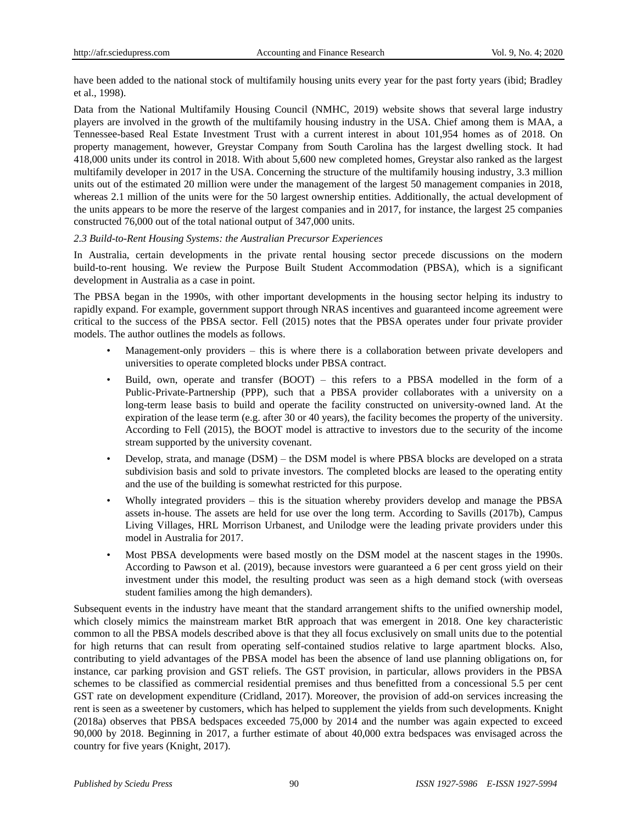have been added to the national stock of multifamily housing units every year for the past forty years (ibid; Bradley et al., 1998).

Data from the National Multifamily Housing Council (NMHC, 2019) website shows that several large industry players are involved in the growth of the multifamily housing industry in the USA. Chief among them is MAA, a Tennessee-based Real Estate Investment Trust with a current interest in about 101,954 homes as of 2018. On property management, however, Greystar Company from South Carolina has the largest dwelling stock. It had 418,000 units under its control in 2018. With about 5,600 new completed homes, Greystar also ranked as the largest multifamily developer in 2017 in the USA. Concerning the structure of the multifamily housing industry, 3.3 million units out of the estimated 20 million were under the management of the largest 50 management companies in 2018, whereas 2.1 million of the units were for the 50 largest ownership entities. Additionally, the actual development of the units appears to be more the reserve of the largest companies and in 2017, for instance, the largest 25 companies constructed 76,000 out of the total national output of 347,000 units.

# *2.3 Build-to-Rent Housing Systems: the Australian Precursor Experiences*

In Australia, certain developments in the private rental housing sector precede discussions on the modern build-to-rent housing. We review the Purpose Built Student Accommodation (PBSA), which is a significant development in Australia as a case in point.

The PBSA began in the 1990s, with other important developments in the housing sector helping its industry to rapidly expand. For example, government support through NRAS incentives and guaranteed income agreement were critical to the success of the PBSA sector. Fell (2015) notes that the PBSA operates under four private provider models. The author outlines the models as follows.

- Management-only providers this is where there is a collaboration between private developers and universities to operate completed blocks under PBSA contract.
- Build, own, operate and transfer (BOOT) this refers to a PBSA modelled in the form of a Public-Private-Partnership (PPP), such that a PBSA provider collaborates with a university on a long-term lease basis to build and operate the facility constructed on university-owned land. At the expiration of the lease term (e.g. after 30 or 40 years), the facility becomes the property of the university. According to Fell (2015), the BOOT model is attractive to investors due to the security of the income stream supported by the university covenant.
- Develop, strata, and manage (DSM) the DSM model is where PBSA blocks are developed on a strata subdivision basis and sold to private investors. The completed blocks are leased to the operating entity and the use of the building is somewhat restricted for this purpose.
- Wholly integrated providers this is the situation whereby providers develop and manage the PBSA assets in-house. The assets are held for use over the long term. According to Savills (2017b), Campus Living Villages, HRL Morrison Urbanest, and Unilodge were the leading private providers under this model in Australia for 2017.
- Most PBSA developments were based mostly on the DSM model at the nascent stages in the 1990s. According to Pawson et al. (2019), because investors were guaranteed a 6 per cent gross yield on their investment under this model, the resulting product was seen as a high demand stock (with overseas student families among the high demanders).

Subsequent events in the industry have meant that the standard arrangement shifts to the unified ownership model, which closely mimics the mainstream market BtR approach that was emergent in 2018. One key characteristic common to all the PBSA models described above is that they all focus exclusively on small units due to the potential for high returns that can result from operating self-contained studios relative to large apartment blocks. Also, contributing to yield advantages of the PBSA model has been the absence of land use planning obligations on, for instance, car parking provision and GST reliefs. The GST provision, in particular, allows providers in the PBSA schemes to be classified as commercial residential premises and thus benefitted from a concessional 5.5 per cent GST rate on development expenditure (Cridland, 2017). Moreover, the provision of add-on services increasing the rent is seen as a sweetener by customers, which has helped to supplement the yields from such developments. Knight (2018a) observes that PBSA bedspaces exceeded 75,000 by 2014 and the number was again expected to exceed 90,000 by 2018. Beginning in 2017, a further estimate of about 40,000 extra bedspaces was envisaged across the country for five years (Knight, 2017).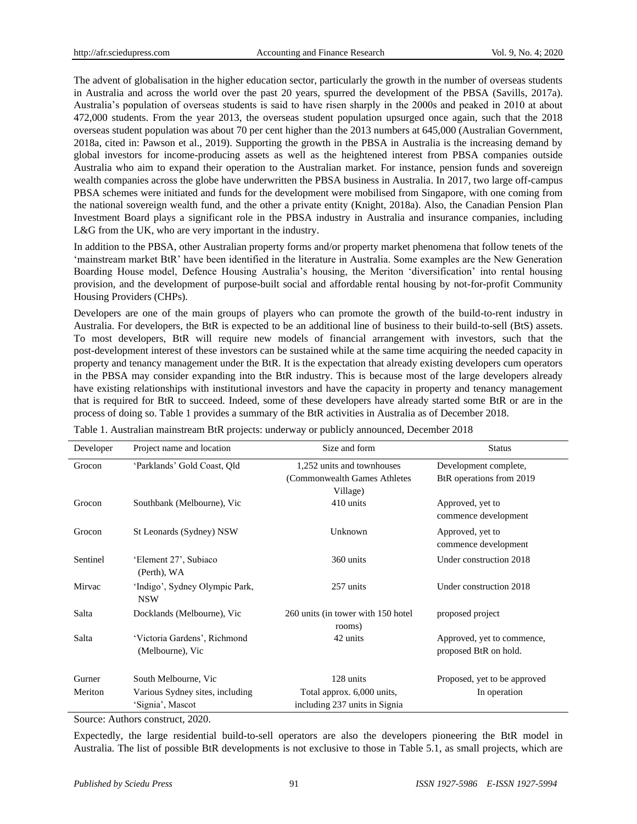The advent of globalisation in the higher education sector, particularly the growth in the number of overseas students in Australia and across the world over the past 20 years, spurred the development of the PBSA (Savills, 2017a). Australia's population of overseas students is said to have risen sharply in the 2000s and peaked in 2010 at about 472,000 students. From the year 2013, the overseas student population upsurged once again, such that the 2018 overseas student population was about 70 per cent higher than the 2013 numbers at 645,000 (Australian Government, 2018a, cited in: Pawson et al., 2019). Supporting the growth in the PBSA in Australia is the increasing demand by global investors for income-producing assets as well as the heightened interest from PBSA companies outside Australia who aim to expand their operation to the Australian market. For instance, pension funds and sovereign wealth companies across the globe have underwritten the PBSA business in Australia. In 2017, two large off-campus PBSA schemes were initiated and funds for the development were mobilised from Singapore, with one coming from the national sovereign wealth fund, and the other a private entity (Knight, 2018a). Also, the Canadian Pension Plan Investment Board plays a significant role in the PBSA industry in Australia and insurance companies, including L&G from the UK, who are very important in the industry.

In addition to the PBSA, other Australian property forms and/or property market phenomena that follow tenets of the 'mainstream market BtR' have been identified in the literature in Australia. Some examples are the New Generation Boarding House model, Defence Housing Australia's housing, the Meriton 'diversification' into rental housing provision, and the development of purpose-built social and affordable rental housing by not-for-profit Community Housing Providers (CHPs).

Developers are one of the main groups of players who can promote the growth of the build-to-rent industry in Australia. For developers, the BtR is expected to be an additional line of business to their build-to-sell (BtS) assets. To most developers, BtR will require new models of financial arrangement with investors, such that the post-development interest of these investors can be sustained while at the same time acquiring the needed capacity in property and tenancy management under the BtR. It is the expectation that already existing developers cum operators in the PBSA may consider expanding into the BtR industry. This is because most of the large developers already have existing relationships with institutional investors and have the capacity in property and tenancy management that is required for BtR to succeed. Indeed, some of these developers have already started some BtR or are in the process of doing so. Table 1 provides a summary of the BtR activities in Australia as of December 2018.

| Developer | Project name and location                           | Size and form                                                           | <b>Status</b>                                                 |
|-----------|-----------------------------------------------------|-------------------------------------------------------------------------|---------------------------------------------------------------|
| Grocon    | 'Parklands' Gold Coast, Qld                         | 1,252 units and townhouses<br>(Commonwealth Games Athletes)<br>Village) | Development complete,<br>B <sub>tR</sub> operations from 2019 |
| Grocon    | Southbank (Melbourne), Vic                          | 410 units                                                               | Approved, yet to<br>commence development                      |
| Grocon    | St Leonards (Sydney) NSW                            | Unknown                                                                 | Approved, yet to<br>commence development                      |
| Sentinel  | 'Element 27', Subiaco<br>(Perth), WA                | 360 units                                                               | Under construction 2018                                       |
| Mirvac    | 'Indigo', Sydney Olympic Park,<br><b>NSW</b>        | 257 units                                                               | Under construction 2018                                       |
| Salta     | Docklands (Melbourne), Vic                          | 260 units (in tower with 150 hotel)<br>rooms)                           | proposed project                                              |
| Salta     | 'Victoria Gardens', Richmond<br>(Melbourne), Vic    | 42 units                                                                | Approved, yet to commence,<br>proposed BtR on hold.           |
| Gurner    | South Melbourne, Vic                                | 128 units                                                               | Proposed, yet to be approved                                  |
| Meriton   | Various Sydney sites, including<br>'Signia', Mascot | Total approx. 6,000 units,<br>including 237 units in Signia             | In operation                                                  |

Table 1. Australian mainstream BtR projects: underway or publicly announced, December 2018

Source: Authors construct, 2020.

Expectedly, the large residential build-to-sell operators are also the developers pioneering the BtR model in Australia. The list of possible BtR developments is not exclusive to those in Table 5.1, as small projects, which are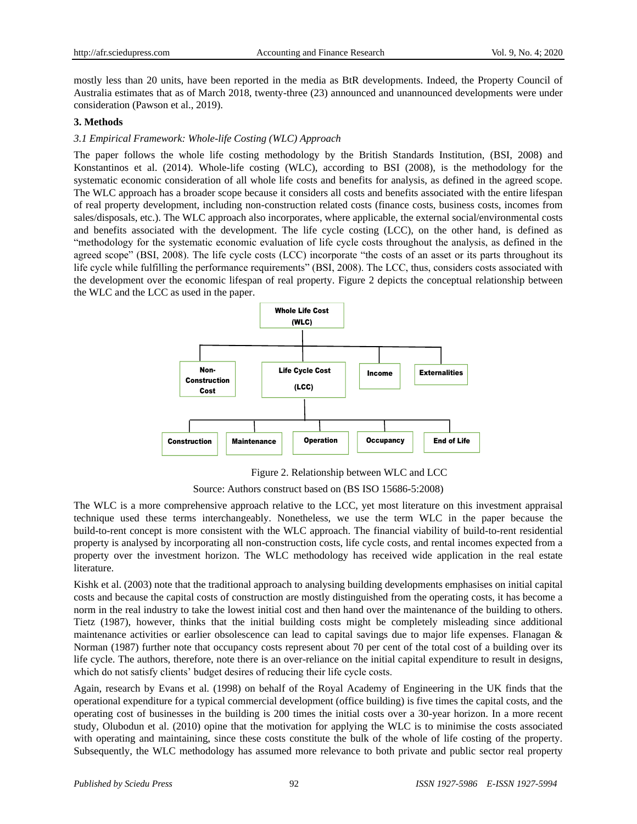mostly less than 20 units, have been reported in the media as BtR developments. Indeed, the Property Council of Australia estimates that as of March 2018, twenty-three (23) announced and unannounced developments were under consideration (Pawson et al., 2019).

## **3. Methods**

# *3.1 Empirical Framework: Whole-life Costing (WLC) Approach*

The paper follows the whole life costing methodology by the British Standards Institution, (BSI, 2008) and Konstantinos et al. (2014). Whole-life costing (WLC), according to BSI (2008), is the methodology for the systematic economic consideration of all whole life costs and benefits for analysis, as defined in the agreed scope. The WLC approach has a broader scope because it considers all costs and benefits associated with the entire lifespan of real property development, including non-construction related costs (finance costs, business costs, incomes from sales/disposals, etc.). The WLC approach also incorporates, where applicable, the external social/environmental costs and benefits associated with the development. The life cycle costing (LCC), on the other hand, is defined as "methodology for the systematic economic evaluation of life cycle costs throughout the analysis, as defined in the agreed scope" (BSI, 2008). The life cycle costs (LCC) incorporate "the costs of an asset or its parts throughout its life cycle while fulfilling the performance requirements" (BSI, 2008). The LCC, thus, considers costs associated with the development over the economic lifespan of real property. Figure 2 depicts the conceptual relationship between the WLC and the LCC as used in the paper.



Figure 2. Relationship between WLC and LCC

Source: Authors construct based on (BS ISO 15686-5:2008)

The WLC is a more comprehensive approach relative to the LCC, yet most literature on this investment appraisal technique used these terms interchangeably. Nonetheless, we use the term WLC in the paper because the build-to-rent concept is more consistent with the WLC approach. The financial viability of build-to-rent residential property is analysed by incorporating all non-construction costs, life cycle costs, and rental incomes expected from a property over the investment horizon. The WLC methodology has received wide application in the real estate literature.

Kishk et al. (2003) note that the traditional approach to analysing building developments emphasises on initial capital costs and because the capital costs of construction are mostly distinguished from the operating costs, it has become a norm in the real industry to take the lowest initial cost and then hand over the maintenance of the building to others. Tietz (1987), however, thinks that the initial building costs might be completely misleading since additional maintenance activities or earlier obsolescence can lead to capital savings due to major life expenses. Flanagan & Norman (1987) further note that occupancy costs represent about 70 per cent of the total cost of a building over its life cycle. The authors, therefore, note there is an over-reliance on the initial capital expenditure to result in designs, which do not satisfy clients' budget desires of reducing their life cycle costs.

Again, research by Evans et al. (1998) on behalf of the Royal Academy of Engineering in the UK finds that the operational expenditure for a typical commercial development (office building) is five times the capital costs, and the operating cost of businesses in the building is 200 times the initial costs over a 30-year horizon. In a more recent study, Olubodun et al. (2010) opine that the motivation for applying the WLC is to minimise the costs associated with operating and maintaining, since these costs constitute the bulk of the whole of life costing of the property.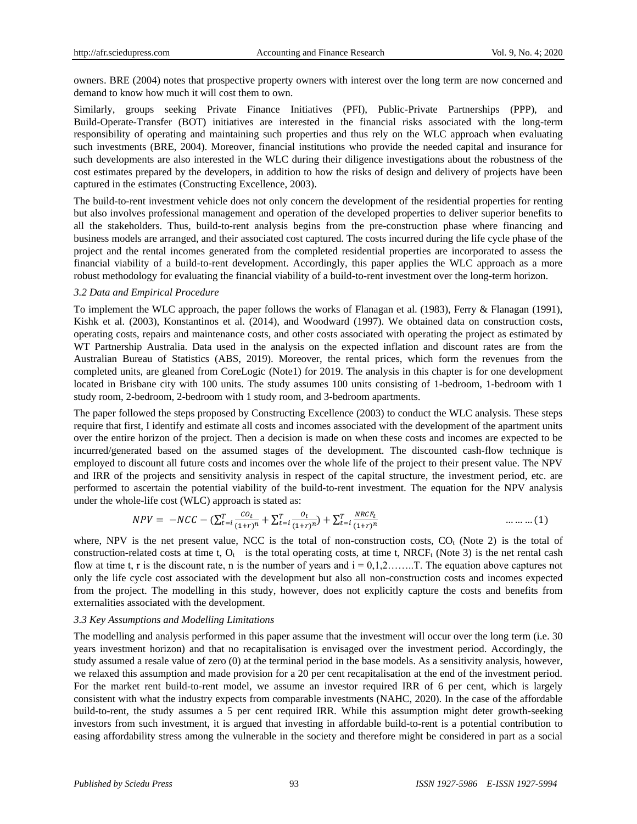owners. BRE (2004) notes that prospective property owners with interest over the long term are now concerned and demand to know how much it will cost them to own.

Similarly, groups seeking Private Finance Initiatives (PFI), Public-Private Partnerships (PPP), and Build-Operate-Transfer (BOT) initiatives are interested in the financial risks associated with the long-term responsibility of operating and maintaining such properties and thus rely on the WLC approach when evaluating such investments (BRE, 2004). Moreover, financial institutions who provide the needed capital and insurance for such developments are also interested in the WLC during their diligence investigations about the robustness of the cost estimates prepared by the developers, in addition to how the risks of design and delivery of projects have been captured in the estimates (Constructing Excellence, 2003).

The build-to-rent investment vehicle does not only concern the development of the residential properties for renting but also involves professional management and operation of the developed properties to deliver superior benefits to all the stakeholders. Thus, build-to-rent analysis begins from the pre-construction phase where financing and business models are arranged, and their associated cost captured. The costs incurred during the life cycle phase of the project and the rental incomes generated from the completed residential properties are incorporated to assess the financial viability of a build-to-rent development. Accordingly, this paper applies the WLC approach as a more robust methodology for evaluating the financial viability of a build-to-rent investment over the long-term horizon.

## *3.2 Data and Empirical Procedure*

To implement the WLC approach, the paper follows the works of Flanagan et al. (1983), Ferry & Flanagan (1991), Kishk et al. (2003), Konstantinos et al. (2014), and Woodward (1997). We obtained data on construction costs, operating costs, repairs and maintenance costs, and other costs associated with operating the project as estimated by WT Partnership Australia. Data used in the analysis on the expected inflation and discount rates are from the Australian Bureau of Statistics (ABS, 2019). Moreover, the rental prices, which form the revenues from the completed units, are gleaned from CoreLogic (Note1) for 2019. The analysis in this chapter is for one development located in Brisbane city with 100 units. The study assumes 100 units consisting of 1-bedroom, 1-bedroom with 1 study room, 2-bedroom, 2-bedroom with 1 study room, and 3-bedroom apartments.

The paper followed the steps proposed by Constructing Excellence (2003) to conduct the WLC analysis. These steps require that first, I identify and estimate all costs and incomes associated with the development of the apartment units over the entire horizon of the project. Then a decision is made on when these costs and incomes are expected to be incurred/generated based on the assumed stages of the development. The discounted cash-flow technique is employed to discount all future costs and incomes over the whole life of the project to their present value. The NPV and IRR of the projects and sensitivity analysis in respect of the capital structure, the investment period, etc. are performed to ascertain the potential viability of the build-to-rent investment. The equation for the NPV analysis under the whole-life cost (WLC) approach is stated as:

$$
NPV = -NCC - (\sum_{t=i}^{T} \frac{co_t}{(1+r)^n} + \sum_{t=i}^{T} \frac{o_t}{(1+r)^n}) + \sum_{t=i}^{T} \frac{NRCF_t}{(1+r)^n}
$$
 .........(1)

where, NPV is the net present value, NCC is the total of non-construction costs,  $CO<sub>t</sub>$  (Note 2) is the total of construction-related costs at time t,  $O_t$  is the total operating costs, at time t, NRCF<sub>t</sub> (Note 3) is the net rental cash flow at time t, r is the discount rate, n is the number of years and  $i = 0,1,2,......$ . T. The equation above captures not only the life cycle cost associated with the development but also all non-construction costs and incomes expected from the project. The modelling in this study, however, does not explicitly capture the costs and benefits from externalities associated with the development.

## *3.3 Key Assumptions and Modelling Limitations*

The modelling and analysis performed in this paper assume that the investment will occur over the long term (i.e. 30 years investment horizon) and that no recapitalisation is envisaged over the investment period. Accordingly, the study assumed a resale value of zero (0) at the terminal period in the base models. As a sensitivity analysis, however, we relaxed this assumption and made provision for a 20 per cent recapitalisation at the end of the investment period. For the market rent build-to-rent model, we assume an investor required IRR of 6 per cent, which is largely consistent with what the industry expects from comparable investments (NAHC, 2020). In the case of the affordable build-to-rent, the study assumes a 5 per cent required IRR. While this assumption might deter growth-seeking investors from such investment, it is argued that investing in affordable build-to-rent is a potential contribution to easing affordability stress among the vulnerable in the society and therefore might be considered in part as a social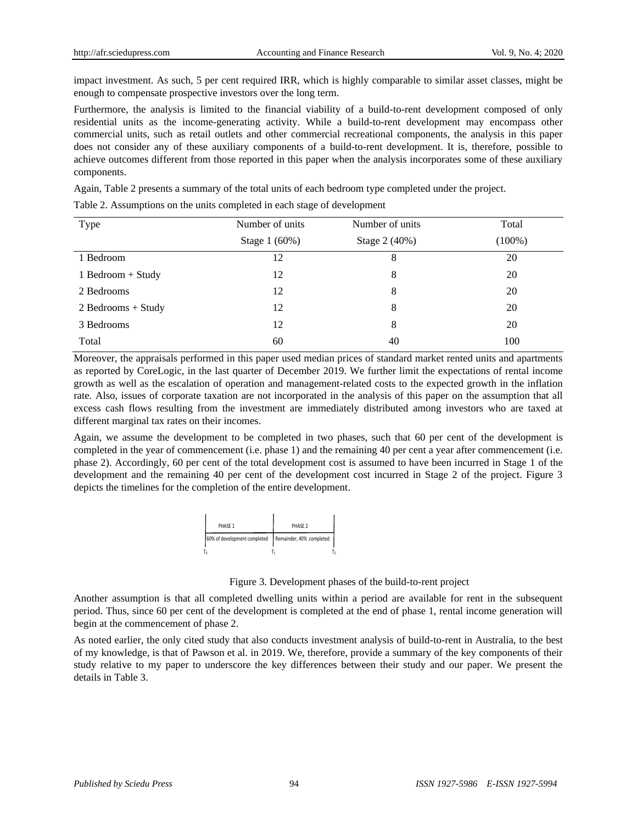impact investment. As such, 5 per cent required IRR, which is highly comparable to similar asset classes, might be enough to compensate prospective investors over the long term.

Furthermore, the analysis is limited to the financial viability of a build-to-rent development composed of only residential units as the income-generating activity. While a build-to-rent development may encompass other commercial units, such as retail outlets and other commercial recreational components, the analysis in this paper does not consider any of these auxiliary components of a build-to-rent development. It is, therefore, possible to achieve outcomes different from those reported in this paper when the analysis incorporates some of these auxiliary components.

Again, Table 2 presents a summary of the total units of each bedroom type completed under the project.

Type Number of units Stage 1 (60%) Number of units Stage 2 (40%) Total (100%) 1 Bedroom 12 8 20 1 Bedroom + Study 12 8 20 2 Bedrooms 12 8 20  $2 \text{ Bedroom} + \text{Study}$  12 8 20 3 Bedrooms 12 8 20  $Total$  60  $40$  100

Table 2. Assumptions on the units completed in each stage of development

Moreover, the appraisals performed in this paper used median prices of standard market rented units and apartments as reported by CoreLogic, in the last quarter of December 2019. We further limit the expectations of rental income growth as well as the escalation of operation and management-related costs to the expected growth in the inflation rate. Also, issues of corporate taxation are not incorporated in the analysis of this paper on the assumption that all excess cash flows resulting from the investment are immediately distributed among investors who are taxed at different marginal tax rates on their incomes.

Again, we assume the development to be completed in two phases, such that 60 per cent of the development is completed in the year of commencement (i.e. phase 1) and the remaining 40 per cent a year after commencement (i.e. phase 2). Accordingly, 60 per cent of the total development cost is assumed to have been incurred in Stage 1 of the development and the remaining 40 per cent of the development cost incurred in Stage 2 of the project. Figure 3 depicts the timelines for the completion of the entire development.



Figure 3. Development phases of the build-to-rent project

Another assumption is that all completed dwelling units within a period are available for rent in the subsequent period. Thus, since 60 per cent of the development is completed at the end of phase 1, rental income generation will begin at the commencement of phase 2.

As noted earlier, the only cited study that also conducts investment analysis of build-to-rent in Australia, to the best of my knowledge, is that of Pawson et al. in 2019. We, therefore, provide a summary of the key components of their study relative to my paper to underscore the key differences between their study and our paper. We present the details in Table 3.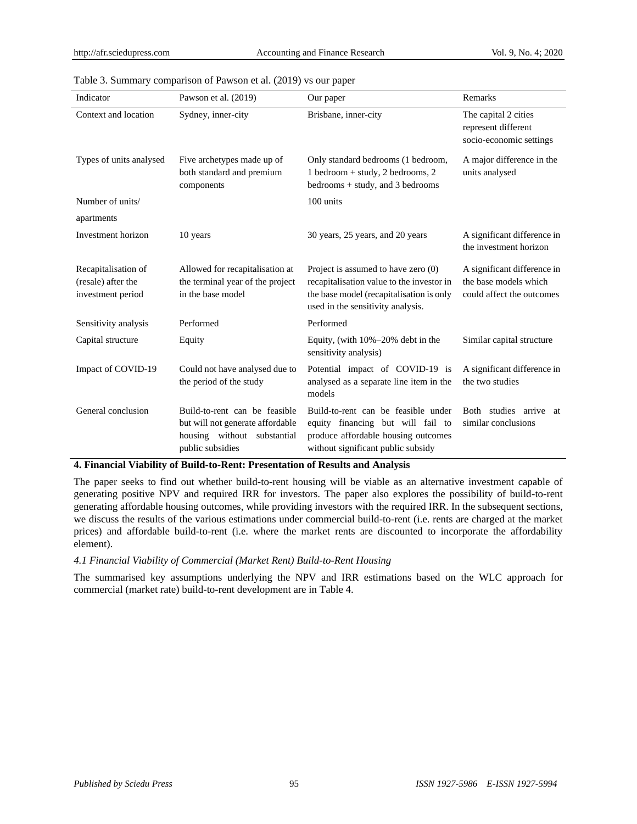| Indicator                                                      | Pawson et al. (2019)                                                                                                 | Our paper                                                                                                                                                         | Remarks                                                                           |
|----------------------------------------------------------------|----------------------------------------------------------------------------------------------------------------------|-------------------------------------------------------------------------------------------------------------------------------------------------------------------|-----------------------------------------------------------------------------------|
| Context and location                                           | Sydney, inner-city                                                                                                   | Brisbane, inner-city                                                                                                                                              | The capital 2 cities<br>represent different<br>socio-economic settings            |
| Types of units analysed                                        | Five archetypes made up of<br>both standard and premium<br>components                                                | Only standard bedrooms (1 bedroom,<br>$1$ bedroom + study, $2$ bedrooms, $2$<br>bedrooms $+$ study, and 3 bedrooms                                                | A major difference in the<br>units analysed                                       |
| Number of units/                                               |                                                                                                                      | 100 units                                                                                                                                                         |                                                                                   |
| apartments                                                     |                                                                                                                      |                                                                                                                                                                   |                                                                                   |
| Investment horizon                                             | 10 years                                                                                                             | 30 years, 25 years, and 20 years                                                                                                                                  | A significant difference in<br>the investment horizon                             |
| Recapitalisation of<br>(resale) after the<br>investment period | Allowed for recapitalisation at<br>the terminal year of the project<br>in the base model                             | Project is assumed to have zero (0)<br>recapitalisation value to the investor in<br>the base model (recapitalisation is only<br>used in the sensitivity analysis. | A significant difference in<br>the base models which<br>could affect the outcomes |
| Sensitivity analysis                                           | Performed                                                                                                            | Performed                                                                                                                                                         |                                                                                   |
| Capital structure                                              | Equity                                                                                                               | Equity, (with $10\% - 20\%$ debt in the<br>sensitivity analysis)                                                                                                  | Similar capital structure                                                         |
| Impact of COVID-19                                             | Could not have analysed due to<br>the period of the study                                                            | Potential impact of COVID-19 is<br>analysed as a separate line item in the<br>models                                                                              | A significant difference in<br>the two studies                                    |
| General conclusion                                             | Build-to-rent can be feasible<br>but will not generate affordable<br>housing without substantial<br>public subsidies | Build-to-rent can be feasible under<br>equity financing but will fail to<br>produce affordable housing outcomes<br>without significant public subsidy             | Both studies arrive<br>at<br>similar conclusions                                  |

#### Table 3. Summary comparison of Pawson et al. (2019) vs our paper

**4. Financial Viability of Build-to-Rent: Presentation of Results and Analysis**

The paper seeks to find out whether build-to-rent housing will be viable as an alternative investment capable of generating positive NPV and required IRR for investors. The paper also explores the possibility of build-to-rent generating affordable housing outcomes, while providing investors with the required IRR. In the subsequent sections, we discuss the results of the various estimations under commercial build-to-rent (i.e. rents are charged at the market prices) and affordable build-to-rent (i.e. where the market rents are discounted to incorporate the affordability element).

# *4.1 Financial Viability of Commercial (Market Rent) Build-to-Rent Housing*

The summarised key assumptions underlying the NPV and IRR estimations based on the WLC approach for commercial (market rate) build-to-rent development are in Table 4.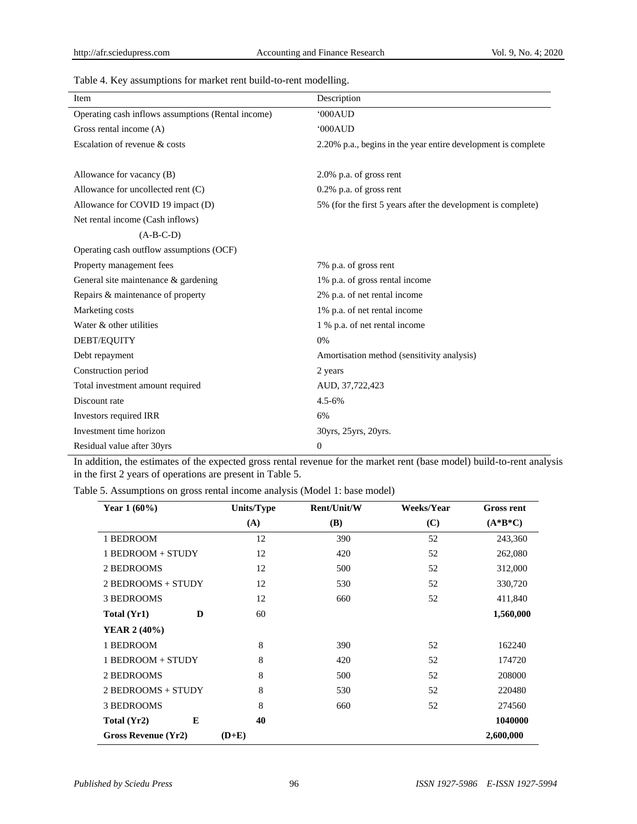| Twice it is a way and the matter following to follow moderning. |                                                               |
|-----------------------------------------------------------------|---------------------------------------------------------------|
| Item                                                            | Description                                                   |
| Operating cash inflows assumptions (Rental income)              | '000AUD                                                       |
| Gross rental income (A)                                         | '000AUD                                                       |
| Escalation of revenue & costs                                   | 2.20% p.a., begins in the year entire development is complete |
|                                                                 |                                                               |
| Allowance for vacancy (B)                                       | $2.0\%$ p.a. of gross rent                                    |
| Allowance for uncollected rent (C)                              | $0.2\%$ p.a. of gross rent                                    |
| Allowance for COVID 19 impact (D)                               | 5% (for the first 5 years after the development is complete)  |
| Net rental income (Cash inflows)                                |                                                               |
| $(A-B-C-D)$                                                     |                                                               |
| Operating cash outflow assumptions (OCF)                        |                                                               |
| Property management fees                                        | 7% p.a. of gross rent                                         |
| General site maintenance & gardening                            | 1% p.a. of gross rental income                                |
| Repairs & maintenance of property                               | 2% p.a. of net rental income                                  |
| Marketing costs                                                 | 1% p.a. of net rental income                                  |
| Water & other utilities                                         | 1 % p.a. of net rental income                                 |
| DEBT/EQUITY                                                     | 0%                                                            |
| Debt repayment                                                  | Amortisation method (sensitivity analysis)                    |
| Construction period                                             | 2 years                                                       |
| Total investment amount required                                | AUD, 37,722,423                                               |
| Discount rate                                                   | $4.5 - 6%$                                                    |
| Investors required IRR                                          | 6%                                                            |
| Investment time horizon                                         | 30yrs, 25yrs, 20yrs.                                          |
| Residual value after 30yrs                                      | $\mathbf{0}$                                                  |

Table 4. Key assumptions for market rent build-to-rent modelling.

In addition, the estimates of the expected gross rental revenue for the market rent (base model) build-to-rent analysis in the first 2 years of operations are present in Table 5.

Table 5. Assumptions on gross rental income analysis (Model 1: base model)

| Year $1(60\%)$      | Units/Type | Rent/Unit/W | Weeks/Year | <b>Gross rent</b> |
|---------------------|------------|-------------|------------|-------------------|
|                     | (A)        | <b>(B)</b>  | (C)        | $(A*B*C)$         |
| 1 BEDROOM           | 12         | 390         | 52         | 243,360           |
| 1 BEDROOM + STUDY   | 12         | 420         | 52         | 262,080           |
| 2 BEDROOMS          | 12         | 500         | 52         | 312,000           |
| 2 BEDROOMS + STUDY  | 12         | 530         | 52         | 330,720           |
| 3 BEDROOMS          | 12         | 660         | 52         | 411,840           |
| D<br>Total (Yr1)    | 60         |             |            | 1,560,000         |
| <b>YEAR 2 (40%)</b> |            |             |            |                   |
| 1 BEDROOM           | 8          | 390         | 52         | 162240            |
| 1 BEDROOM + STUDY   | 8          | 420         | 52         | 174720            |
| 2 BEDROOMS          | 8          | 500         | 52         | 208000            |
| 2 BEDROOMS + STUDY  | 8          | 530         | 52         | 220480            |
| <b>3 BEDROOMS</b>   | 8          | 660         | 52         | 274560            |
| E<br>Total (Yr2)    | 40         |             |            | 1040000           |
| Gross Revenue (Yr2) | $(D+E)$    |             |            | 2,600,000         |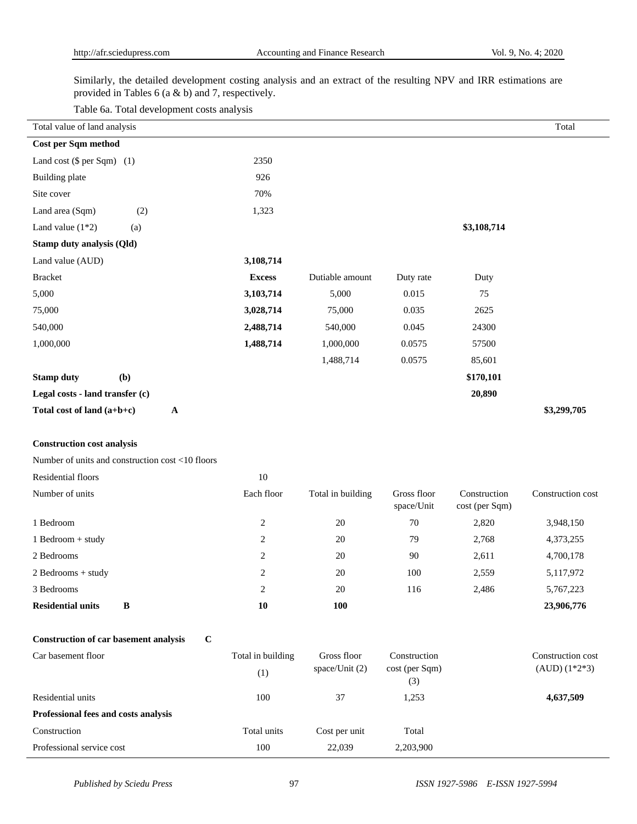Similarly, the detailed development costing analysis and an extract of the resulting NPV and IRR estimations are provided in Tables 6 (a & b) and 7, respectively.

Table 6a. Total development costs analysis

| Total value of land analysis                     |              |                   |                   |                           |                                | Total             |
|--------------------------------------------------|--------------|-------------------|-------------------|---------------------------|--------------------------------|-------------------|
| Cost per Sqm method                              |              |                   |                   |                           |                                |                   |
| Land cost $(\$$ per Sqm $)$ (1)                  |              | 2350              |                   |                           |                                |                   |
| <b>Building plate</b>                            |              | 926               |                   |                           |                                |                   |
| Site cover                                       |              | 70%               |                   |                           |                                |                   |
| Land area (Sqm)<br>(2)                           |              | 1,323             |                   |                           |                                |                   |
| Land value $(1*2)$<br>(a)                        |              |                   |                   |                           | \$3,108,714                    |                   |
| Stamp duty analysis (Qld)                        |              |                   |                   |                           |                                |                   |
| Land value (AUD)                                 |              | 3,108,714         |                   |                           |                                |                   |
| <b>Bracket</b>                                   |              | <b>Excess</b>     | Dutiable amount   | Duty rate                 | Duty                           |                   |
| 5,000                                            |              | 3,103,714         | 5,000             | 0.015                     | 75                             |                   |
| 75,000                                           |              | 3,028,714         | 75,000            | 0.035                     | 2625                           |                   |
| 540,000                                          |              | 2,488,714         | 540,000           | 0.045                     | 24300                          |                   |
| 1,000,000                                        |              | 1,488,714         | 1,000,000         | 0.0575                    | 57500                          |                   |
|                                                  |              |                   | 1,488,714         | 0.0575                    | 85,601                         |                   |
| (b)<br><b>Stamp duty</b>                         |              |                   |                   |                           | \$170,101                      |                   |
| Legal costs - land transfer (c)                  |              |                   |                   |                           | 20,890                         |                   |
| Total cost of land (a+b+c)                       | $\mathbf{A}$ |                   |                   |                           |                                | \$3,299,705       |
|                                                  |              |                   |                   |                           |                                |                   |
| <b>Construction cost analysis</b>                |              |                   |                   |                           |                                |                   |
| Number of units and construction cost <10 floors |              |                   |                   |                           |                                |                   |
| Residential floors                               |              | 10                |                   |                           |                                |                   |
| Number of units                                  |              | Each floor        | Total in building | Gross floor<br>space/Unit | Construction<br>cost (per Sqm) | Construction cost |
| 1 Bedroom                                        |              | $\overline{c}$    | $20\,$            | 70                        | 2,820                          | 3,948,150         |
| 1 Bedroom + study                                |              | $\overline{c}$    | 20                | 79                        | 2,768                          | 4,373,255         |
| 2 Bedrooms                                       |              | $\overline{c}$    | 20                | 90                        | 2,611                          | 4,700,178         |
| $2$ Bedrooms + study                             |              | 2                 | 20                | 100                       | 2,559                          | 5,117,972         |
| 3 Bedrooms                                       |              | $\overline{c}$    | 20                | 116                       | 2,486                          | 5,767,223         |
| <b>Residential units</b><br>$\, {\bf B}$         |              | 10                | 100               |                           |                                | 23,906,776        |
| <b>Construction of car basement analysis</b>     | $\mathbf C$  |                   |                   |                           |                                |                   |
| Car basement floor                               |              | Total in building | Gross floor       | Construction              |                                | Construction cost |
|                                                  |              | (1)               | space/Unit (2)    | cost (per Sqm)<br>(3)     |                                | $(AUD) (1*2*3)$   |
| Residential units                                |              | 100               | 37                | 1,253                     |                                | 4,637,509         |
| Professional fees and costs analysis             |              |                   |                   |                           |                                |                   |

Construction Total units Cost per unit Total Professional service cost 100 22,039 2,203,900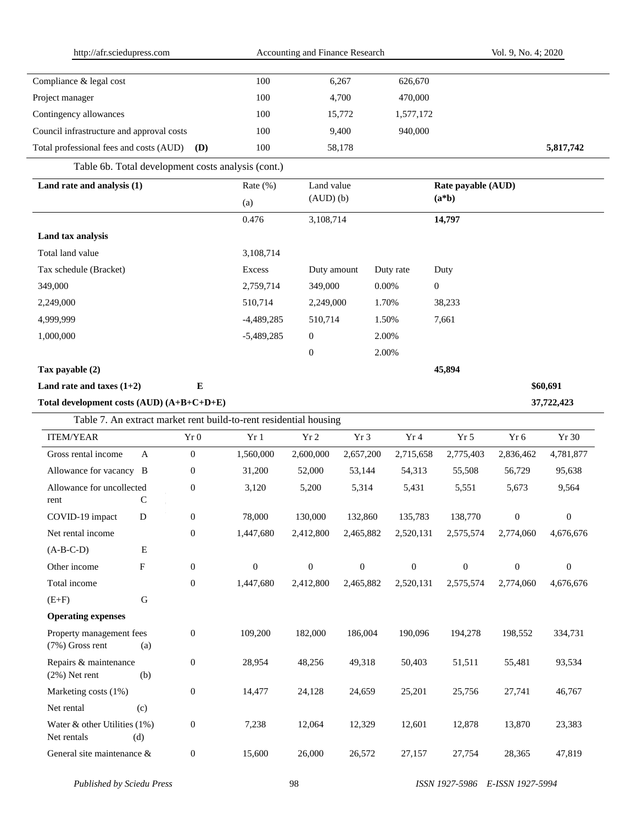| http://afr.sciedupress.com                                        |              |                  | Accounting and Finance Research |                  |                  |           | Vol. 9, No. 4; 2020 |                    |                  |                  |
|-------------------------------------------------------------------|--------------|------------------|---------------------------------|------------------|------------------|-----------|---------------------|--------------------|------------------|------------------|
| Compliance & legal cost                                           |              |                  | 100                             |                  | 6,267            |           | 626,670             |                    |                  |                  |
| Project manager                                                   |              |                  | 100                             |                  | 4,700            |           | 470,000             |                    |                  |                  |
| Contingency allowances                                            |              |                  | 100                             |                  | 15,772           |           | 1,577,172           |                    |                  |                  |
| Council infrastructure and approval costs                         |              |                  | 100                             |                  | 9,400            |           | 940,000             |                    |                  |                  |
| Total professional fees and costs (AUD)                           |              | (D)              | 100                             |                  | 58,178           |           |                     |                    |                  | 5,817,742        |
| Table 6b. Total development costs analysis (cont.)                |              |                  |                                 |                  |                  |           |                     |                    |                  |                  |
| Land rate and analysis (1)                                        |              |                  | Rate (%)                        | Land value       |                  |           |                     | Rate payable (AUD) |                  |                  |
|                                                                   |              |                  | (a)                             | $(AUD)$ $(b)$    |                  |           |                     | $(a * b)$          |                  |                  |
|                                                                   |              |                  | 0.476                           | 3,108,714        |                  |           |                     | 14,797             |                  |                  |
| Land tax analysis                                                 |              |                  |                                 |                  |                  |           |                     |                    |                  |                  |
| Total land value                                                  |              |                  | 3,108,714                       |                  |                  |           |                     |                    |                  |                  |
| Tax schedule (Bracket)                                            |              |                  | <b>Excess</b>                   | Duty amount      |                  | Duty rate |                     | Duty               |                  |                  |
| 349,000                                                           |              |                  | 2,759,714                       | 349,000          |                  | 0.00%     |                     | $\mathbf{0}$       |                  |                  |
| 2,249,000                                                         |              |                  | 510,714                         | 2,249,000        |                  | 1.70%     |                     | 38,233             |                  |                  |
| 4,999,999                                                         |              |                  | $-4,489,285$                    | 510,714          |                  | 1.50%     |                     | 7,661              |                  |                  |
| 1,000,000                                                         |              |                  | $-5,489,285$                    | $\mathbf{0}$     |                  | 2.00%     |                     |                    |                  |                  |
|                                                                   |              |                  |                                 | $\mathbf{0}$     |                  | 2.00%     |                     |                    |                  |                  |
| Tax payable (2)                                                   |              |                  |                                 |                  |                  |           |                     | 45,894             |                  |                  |
| Land rate and taxes $(1+2)$                                       |              | E                |                                 |                  |                  |           |                     |                    |                  | \$60,691         |
| Total development costs (AUD) (A+B+C+D+E)                         |              |                  |                                 |                  |                  |           |                     |                    |                  | 37,722,423       |
| Table 7. An extract market rent build-to-rent residential housing |              |                  |                                 |                  |                  |           |                     |                    |                  |                  |
| <b>ITEM/YEAR</b>                                                  |              | Yr0              | Yr1                             | Yr <sub>2</sub>  | Yr <sub>3</sub>  |           | Yr <sub>4</sub>     | Yr <sub>5</sub>    | Yr 6             | Yr 30            |
| Gross rental income                                               | $\mathbf{A}$ | $\boldsymbol{0}$ | 1,560,000                       | 2,600,000        | 2,657,200        |           | 2,715,658           | 2,775,403          | 2,836,462        | 4,781,877        |
| Allowance for vacancy B                                           |              | $\mathbf{0}$     | 31,200                          | 52,000           | 53,144           |           | 54,313              | 55,508             | 56,729           | 95,638           |
| Allowance for uncollected<br>rent                                 | C            | $\boldsymbol{0}$ | 3,120                           | 5,200            | 5,314            |           | 5,431               | 5,551              | 5,673            | 9,564            |
| COVID-19 impact                                                   | D            | $\boldsymbol{0}$ | 78,000                          | 130,000          | 132,860          |           | 135,783             | 138,770            | $\boldsymbol{0}$ | $\boldsymbol{0}$ |
| Net rental income                                                 |              | $\boldsymbol{0}$ | 1,447,680                       | 2,412,800        | 2,465,882        |           | 2,520,131           | 2,575,574          | 2,774,060        | 4,676,676        |
| $(A-B-C-D)$                                                       | Е            |                  |                                 |                  |                  |           |                     |                    |                  |                  |
| Other income                                                      | F            | $\boldsymbol{0}$ | $\boldsymbol{0}$                | $\boldsymbol{0}$ | $\boldsymbol{0}$ |           | $\boldsymbol{0}$    | $\boldsymbol{0}$   | $\boldsymbol{0}$ | $\boldsymbol{0}$ |
| Total income                                                      |              | $\boldsymbol{0}$ | 1,447,680                       | 2,412,800        | 2,465,882        |           | 2,520,131           | 2,575,574          | 2,774,060        | 4,676,676        |
| $(E+F)$                                                           | ${\bf G}$    |                  |                                 |                  |                  |           |                     |                    |                  |                  |
| <b>Operating expenses</b>                                         |              |                  |                                 |                  |                  |           |                     |                    |                  |                  |
| Property management fees<br>(7%) Gross rent                       | (a)          | $\boldsymbol{0}$ | 109,200                         | 182,000          | 186,004          |           | 190,096             | 194,278            | 198,552          | 334,731          |
| Repairs & maintenance<br>$(2\%)$ Net rent                         | (b)          | $\boldsymbol{0}$ | 28,954                          | 48,256           | 49,318           |           | 50,403              | 51,511             | 55,481           | 93,534           |
| Marketing costs (1%)                                              |              | $\boldsymbol{0}$ | 14,477                          | 24,128           | 24,659           |           | 25,201              | 25,756             | 27,741           | 46,767           |
| Net rental                                                        | (c)          |                  |                                 |                  |                  |           |                     |                    |                  |                  |
| Water & other Utilities $(1%)$<br>Net rentals                     | (d)          | $\boldsymbol{0}$ | 7,238                           | 12,064           | 12,329           |           | 12,601              | 12,878             | 13,870           | 23,383           |
| General site maintenance &                                        |              | $\boldsymbol{0}$ | 15,600                          | 26,000           | 26,572           |           | 27,157              | 27,754             | 28,365           | 47,819           |

 $\sim$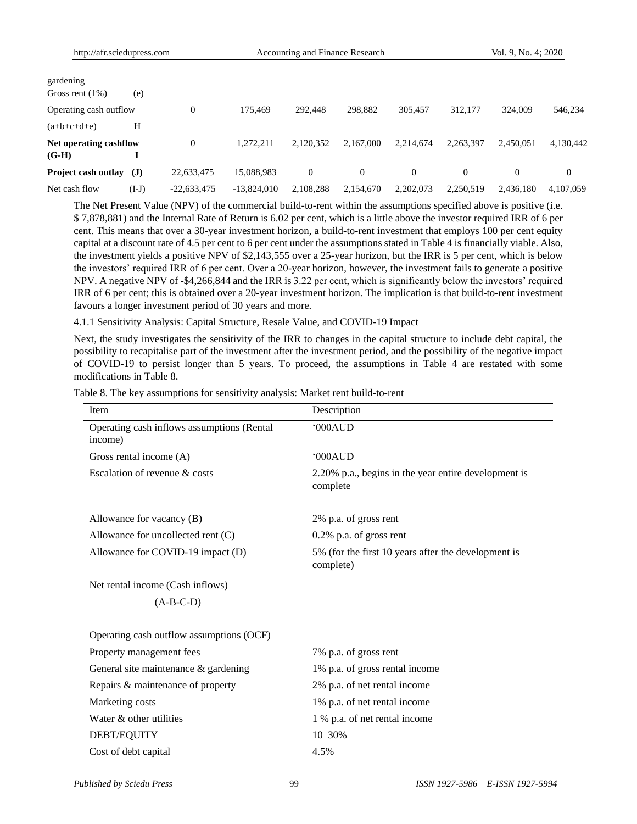| gardening<br>Gross rent $(1\%)$   | (e)          |                |               |              |           |           |           |           |                |
|-----------------------------------|--------------|----------------|---------------|--------------|-----------|-----------|-----------|-----------|----------------|
| Operating cash outflow            |              | 0              | 175.469       | 292,448      | 298,882   | 305.457   | 312,177   | 324,009   | 546,234        |
| $(a+b+c+d+e)$                     | H            |                |               |              |           |           |           |           |                |
| Net operating cashflow<br>$(G-H)$ |              | $\overline{0}$ | 1.272.211     | 2,120,352    | 2.167,000 | 2.214.674 | 2,263,397 | 2,450,051 | 4,130,442      |
| Project cash outlay               | $\mathbf{J}$ | 22,633,475     | 15,088,983    | $\mathbf{0}$ | 0         | $\theta$  | $\Omega$  |           | $\overline{0}$ |
| Net cash flow                     | (I-J)        | $-22,633,475$  | $-13,824,010$ | 2,108,288    | 2.154.670 | 2,202,073 | 2,250,519 | 2.436.180 | 4.107.059      |

The Net Present Value (NPV) of the commercial build-to-rent within the assumptions specified above is positive (i.e. \$ 7,878,881) and the Internal Rate of Return is 6.02 per cent, which is a little above the investor required IRR of 6 per cent. This means that over a 30-year investment horizon, a build-to-rent investment that employs 100 per cent equity capital at a discount rate of 4.5 per cent to 6 per cent under the assumptions stated in Table 4 is financially viable. Also, the investment yields a positive NPV of \$2,143,555 over a 25-year horizon, but the IRR is 5 per cent, which is below the investors' required IRR of 6 per cent. Over a 20-year horizon, however, the investment fails to generate a positive NPV. A negative NPV of -\$4,266,844 and the IRR is 3.22 per cent, which is significantly below the investors' required IRR of 6 per cent; this is obtained over a 20-year investment horizon. The implication is that build-to-rent investment favours a longer investment period of 30 years and more.

4.1.1 Sensitivity Analysis: Capital Structure, Resale Value, and COVID-19 Impact

Next, the study investigates the sensitivity of the IRR to changes in the capital structure to include debt capital, the possibility to recapitalise part of the investment after the investment period, and the possibility of the negative impact of COVID-19 to persist longer than 5 years. To proceed, the assumptions in Table 4 are restated with some modifications in Table 8.

| Item                                                  | Description                                                      |
|-------------------------------------------------------|------------------------------------------------------------------|
| Operating cash inflows assumptions (Rental<br>income) | '000AUD                                                          |
| Gross rental income (A)                               | 000AUD                                                           |
| Escalation of revenue & costs                         | 2.20% p.a., begins in the year entire development is<br>complete |
| Allowance for vacancy (B)                             | 2% p.a. of gross rent                                            |
| Allowance for uncollected rent (C)                    | 0.2% p.a. of gross rent                                          |
| Allowance for COVID-19 impact (D)                     | 5% (for the first 10 years after the development is<br>complete) |
| Net rental income (Cash inflows)                      |                                                                  |
| $(A-B-C-D)$                                           |                                                                  |
| Operating cash outflow assumptions (OCF)              |                                                                  |
| Property management fees                              | 7% p.a. of gross rent                                            |
| General site maintenance & gardening                  | 1% p.a. of gross rental income                                   |
| Repairs & maintenance of property                     | 2% p.a. of net rental income                                     |
| Marketing costs                                       | 1% p.a. of net rental income                                     |
| Water & other utilities                               | 1 % p.a. of net rental income                                    |
| DEBT/EQUITY                                           | $10 - 30%$                                                       |
| Cost of debt capital                                  | 4.5%                                                             |

Table 8. The key assumptions for sensitivity analysis: Market rent build-to-rent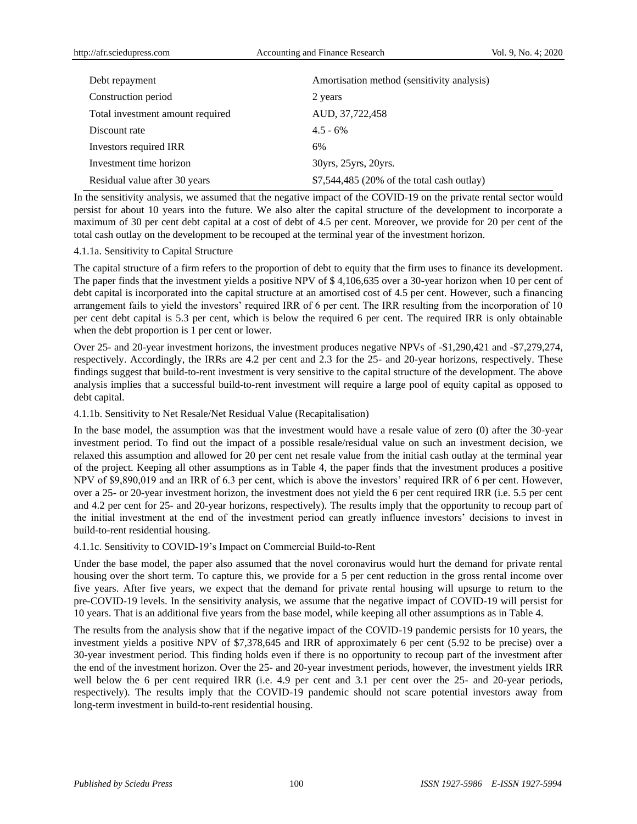| Debt repayment                   | Amortisation method (sensitivity analysis) |
|----------------------------------|--------------------------------------------|
| Construction period              | 2 years                                    |
| Total investment amount required | AUD, 37,722,458                            |
| Discount rate                    | $4.5 - 6\%$                                |
| Investors required IRR           | 6%                                         |
| Investment time horizon          | 30yrs, 25yrs, 20yrs.                       |
| Residual value after 30 years    | \$7,544,485 (20% of the total cash outlay) |

In the sensitivity analysis, we assumed that the negative impact of the COVID-19 on the private rental sector would persist for about 10 years into the future. We also alter the capital structure of the development to incorporate a maximum of 30 per cent debt capital at a cost of debt of 4.5 per cent. Moreover, we provide for 20 per cent of the total cash outlay on the development to be recouped at the terminal year of the investment horizon.

#### 4.1.1a. Sensitivity to Capital Structure

The capital structure of a firm refers to the proportion of debt to equity that the firm uses to finance its development. The paper finds that the investment yields a positive NPV of \$ 4,106,635 over a 30-year horizon when 10 per cent of debt capital is incorporated into the capital structure at an amortised cost of 4.5 per cent. However, such a financing arrangement fails to yield the investors' required IRR of 6 per cent. The IRR resulting from the incorporation of 10 per cent debt capital is 5.3 per cent, which is below the required 6 per cent. The required IRR is only obtainable when the debt proportion is 1 per cent or lower.

Over 25- and 20-year investment horizons, the investment produces negative NPVs of -\$1,290,421 and -\$7,279,274, respectively. Accordingly, the IRRs are 4.2 per cent and 2.3 for the 25- and 20-year horizons, respectively. These findings suggest that build-to-rent investment is very sensitive to the capital structure of the development. The above analysis implies that a successful build-to-rent investment will require a large pool of equity capital as opposed to debt capital.

## 4.1.1b. Sensitivity to Net Resale/Net Residual Value (Recapitalisation)

In the base model, the assumption was that the investment would have a resale value of zero (0) after the 30-year investment period. To find out the impact of a possible resale/residual value on such an investment decision, we relaxed this assumption and allowed for 20 per cent net resale value from the initial cash outlay at the terminal year of the project. Keeping all other assumptions as in Table 4, the paper finds that the investment produces a positive NPV of \$9,890,019 and an IRR of 6.3 per cent, which is above the investors' required IRR of 6 per cent. However, over a 25- or 20-year investment horizon, the investment does not yield the 6 per cent required IRR (i.e. 5.5 per cent and 4.2 per cent for 25- and 20-year horizons, respectively). The results imply that the opportunity to recoup part of the initial investment at the end of the investment period can greatly influence investors' decisions to invest in build-to-rent residential housing.

# 4.1.1c. Sensitivity to COVID-19's Impact on Commercial Build-to-Rent

Under the base model, the paper also assumed that the novel coronavirus would hurt the demand for private rental housing over the short term. To capture this, we provide for a 5 per cent reduction in the gross rental income over five years. After five years, we expect that the demand for private rental housing will upsurge to return to the pre-COVID-19 levels. In the sensitivity analysis, we assume that the negative impact of COVID-19 will persist for 10 years. That is an additional five years from the base model, while keeping all other assumptions as in Table 4.

The results from the analysis show that if the negative impact of the COVID-19 pandemic persists for 10 years, the investment yields a positive NPV of \$7,378,645 and IRR of approximately 6 per cent (5.92 to be precise) over a 30-year investment period. This finding holds even if there is no opportunity to recoup part of the investment after the end of the investment horizon. Over the 25- and 20-year investment periods, however, the investment yields IRR well below the 6 per cent required IRR (i.e. 4.9 per cent and 3.1 per cent over the 25- and 20-year periods, respectively). The results imply that the COVID-19 pandemic should not scare potential investors away from long-term investment in build-to-rent residential housing.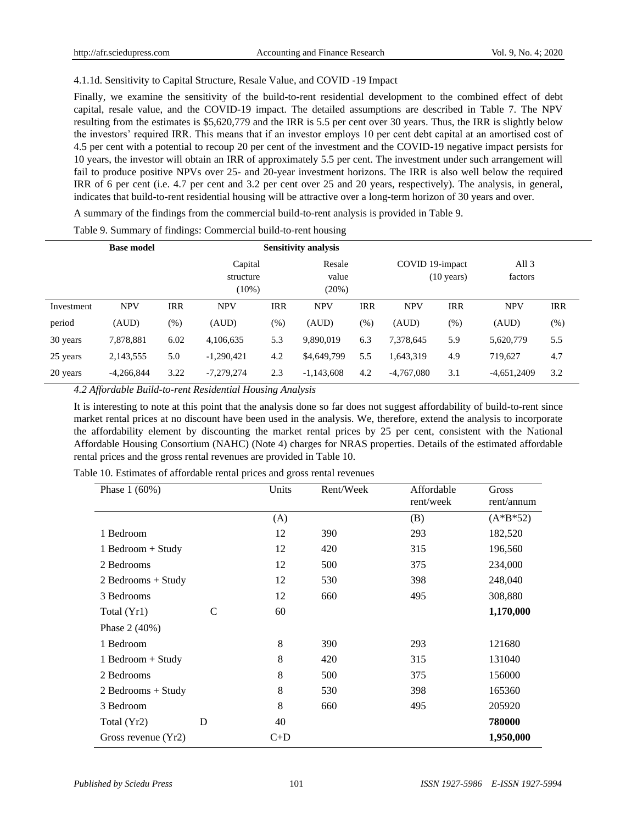# 4.1.1d. Sensitivity to Capital Structure, Resale Value, and COVID -19 Impact

Finally, we examine the sensitivity of the build-to-rent residential development to the combined effect of debt capital, resale value, and the COVID-19 impact. The detailed assumptions are described in Table 7. The NPV resulting from the estimates is \$5,620,779 and the IRR is 5.5 per cent over 30 years. Thus, the IRR is slightly below the investors' required IRR. This means that if an investor employs 10 per cent debt capital at an amortised cost of 4.5 per cent with a potential to recoup 20 per cent of the investment and the COVID-19 negative impact persists for 10 years, the investor will obtain an IRR of approximately 5.5 per cent. The investment under such arrangement will fail to produce positive NPVs over 25- and 20-year investment horizons. The IRR is also well below the required IRR of 6 per cent (i.e. 4.7 per cent and 3.2 per cent over 25 and 20 years, respectively). The analysis, in general, indicates that build-to-rent residential housing will be attractive over a long-term horizon of 30 years and over.

A summary of the findings from the commercial build-to-rent analysis is provided in Table 9.

|            | <b>Base model</b> |        |                                  |            | <b>Sensitivity analysis</b> |            |                 |                      |                    |            |
|------------|-------------------|--------|----------------------------------|------------|-----------------------------|------------|-----------------|----------------------|--------------------|------------|
|            |                   |        | Capital<br>structure<br>$(10\%)$ |            | Resale<br>value<br>(20%)    |            | COVID 19-impact | $(10 \text{ years})$ | All $3$<br>factors |            |
| Investment | <b>NPV</b>        | IRR    | <b>NPV</b>                       | <b>IRR</b> | <b>NPV</b>                  | <b>IRR</b> | <b>NPV</b>      | <b>IRR</b>           | <b>NPV</b>         | <b>IRR</b> |
| period     | (AUD)             | $(\%)$ | (AUD)                            | $(\%)$     | (AUD)                       | $(\%)$     | (AUD)           | $(\%)$               | (AUD)              | (% )       |
| 30 years   | 7,878,881         | 6.02   | 4,106,635                        | 5.3        | 9,890,019                   | 6.3        | 7,378,645       | 5.9                  | 5,620,779          | 5.5        |
| 25 years   | 2,143,555         | 5.0    | $-1,290,421$                     | 4.2        | \$4,649,799                 | 5.5        | 1,643,319       | 4.9                  | 719,627            | 4.7        |
| 20 years   | $-4.266.844$      | 3.22   | $-7,279,274$                     | 2.3        | $-1,143,608$                | 4.2        | $-4.767,080$    | 3.1                  | $-4,651,2409$      | 3.2        |

Table 9. Summary of findings: Commercial build-to-rent housing

*4.2 Affordable Build-to-rent Residential Housing Analysis*

It is interesting to note at this point that the analysis done so far does not suggest affordability of build-to-rent since market rental prices at no discount have been used in the analysis. We, therefore, extend the analysis to incorporate the affordability element by discounting the market rental prices by 25 per cent, consistent with the National Affordable Housing Consortium (NAHC) (Note 4) charges for NRAS properties. Details of the estimated affordable rental prices and the gross rental revenues are provided in Table 10.

| Phase $1(60%)$        |   | Units | Rent/Week | Affordable<br>rent/week | Gross<br>rent/annum |
|-----------------------|---|-------|-----------|-------------------------|---------------------|
|                       |   | (A)   |           | (B)                     | $(A*B*52)$          |
| 1 Bedroom             |   | 12    | 390       | 293                     | 182,520             |
| 1 Bedroom + Study     |   | 12    | 420       | 315                     | 196,560             |
| 2 Bedrooms            |   | 12    | 500       | 375                     | 234,000             |
| $2$ Bedrooms + Study  |   | 12    | 530       | 398                     | 248,040             |
| 3 Bedrooms            |   | 12    | 660       | 495                     | 308,880             |
| Total (Yr1)           | C | 60    |           |                         | 1,170,000           |
| Phase $2(40%)$        |   |       |           |                         |                     |
| 1 Bedroom             |   | 8     | 390       | 293                     | 121680              |
| 1 Bedroom + Study     |   | 8     | 420       | 315                     | 131040              |
| 2 Bedrooms            |   | 8     | 500       | 375                     | 156000              |
| $2$ Bedrooms + Study  |   | 8     | 530       | 398                     | 165360              |
| 3 Bedroom             |   | 8     | 660       | 495                     | 205920              |
| Total (Yr2)           | D | 40    |           |                         | 780000              |
| Gross revenue $(Yr2)$ |   | $C+D$ |           |                         | 1,950,000           |

Table 10. Estimates of affordable rental prices and gross rental revenues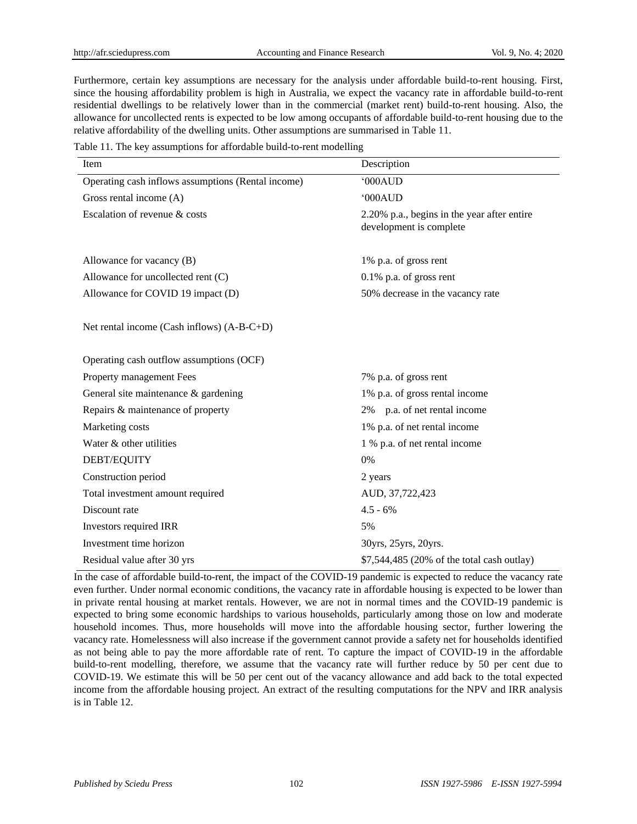Furthermore, certain key assumptions are necessary for the analysis under affordable build-to-rent housing. First, since the housing affordability problem is high in Australia, we expect the vacancy rate in affordable build-to-rent residential dwellings to be relatively lower than in the commercial (market rent) build-to-rent housing. Also, the allowance for uncollected rents is expected to be low among occupants of affordable build-to-rent housing due to the relative affordability of the dwelling units. Other assumptions are summarised in Table 11.

Table 11. The key assumptions for affordable build-to-rent modelling

| Item                                               | Description                                                            |  |  |  |  |
|----------------------------------------------------|------------------------------------------------------------------------|--|--|--|--|
| Operating cash inflows assumptions (Rental income) | '000AUD                                                                |  |  |  |  |
| Gross rental income (A)                            | '000AUD                                                                |  |  |  |  |
| Escalation of revenue & costs                      | 2.20% p.a., begins in the year after entire<br>development is complete |  |  |  |  |
| Allowance for vacancy (B)                          | 1% p.a. of gross rent                                                  |  |  |  |  |
| Allowance for uncollected rent (C)                 | $0.1\%$ p.a. of gross rent                                             |  |  |  |  |
| Allowance for COVID 19 impact (D)                  | 50% decrease in the vacancy rate                                       |  |  |  |  |
| Net rental income (Cash inflows) (A-B-C+D)         |                                                                        |  |  |  |  |
| Operating cash outflow assumptions (OCF)           |                                                                        |  |  |  |  |
| Property management Fees                           | 7% p.a. of gross rent                                                  |  |  |  |  |
| General site maintenance & gardening               | 1% p.a. of gross rental income                                         |  |  |  |  |
| Repairs & maintenance of property                  | 2% p.a. of net rental income                                           |  |  |  |  |
| Marketing costs                                    | 1% p.a. of net rental income                                           |  |  |  |  |
| Water & other utilities                            | 1 % p.a. of net rental income                                          |  |  |  |  |
| <b>DEBT/EQUITY</b>                                 | 0%                                                                     |  |  |  |  |
| Construction period                                | 2 years                                                                |  |  |  |  |
| Total investment amount required                   | AUD, 37,722,423                                                        |  |  |  |  |
| Discount rate                                      | $4.5 - 6\%$                                                            |  |  |  |  |
| Investors required IRR                             | 5%                                                                     |  |  |  |  |
| Investment time horizon                            | 30yrs, 25yrs, 20yrs.                                                   |  |  |  |  |
| Residual value after 30 yrs                        | \$7,544,485 (20% of the total cash outlay)                             |  |  |  |  |

In the case of affordable build-to-rent, the impact of the COVID-19 pandemic is expected to reduce the vacancy rate even further. Under normal economic conditions, the vacancy rate in affordable housing is expected to be lower than in private rental housing at market rentals. However, we are not in normal times and the COVID-19 pandemic is expected to bring some economic hardships to various households, particularly among those on low and moderate household incomes. Thus, more households will move into the affordable housing sector, further lowering the vacancy rate. Homelessness will also increase if the government cannot provide a safety net for households identified as not being able to pay the more affordable rate of rent. To capture the impact of COVID-19 in the affordable build-to-rent modelling, therefore, we assume that the vacancy rate will further reduce by 50 per cent due to COVID-19. We estimate this will be 50 per cent out of the vacancy allowance and add back to the total expected income from the affordable housing project. An extract of the resulting computations for the NPV and IRR analysis is in Table 12.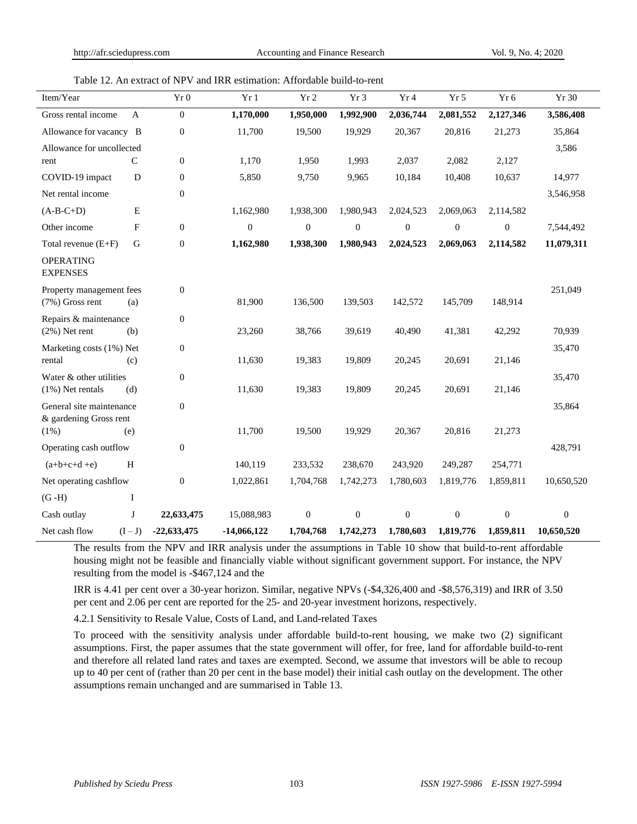# Table 12. An extract of NPV and IRR estimation: Affordable build-to-rent

| Item/Year                                              |              | Yr 0             | Yr1              | Yr 2             | Yr 3             | Yr 4             | Yr 5             | Yr 6             | Yr 30            |
|--------------------------------------------------------|--------------|------------------|------------------|------------------|------------------|------------------|------------------|------------------|------------------|
| Gross rental income                                    | A            | $\boldsymbol{0}$ | 1,170,000        | 1,950,000        | 1,992,900        | 2,036,744        | 2,081,552        | 2,127,346        | 3,586,408        |
| Allowance for vacancy B                                |              | $\boldsymbol{0}$ | 11,700           | 19,500           | 19,929           | 20,367           | 20,816           | 21,273           | 35,864           |
| Allowance for uncollected                              |              |                  |                  |                  | 3,586            |                  |                  |                  |                  |
| rent                                                   | $\mathsf{C}$ | $\boldsymbol{0}$ | 1,170            | 1,950            | 1,993            | 2,037            | 2,082            | 2,127            |                  |
| COVID-19 impact                                        | D            | $\mathbf{0}$     | 5,850            | 9,750            | 9,965            | 10,184           | 10,408           | 10,637           | 14,977           |
| Net rental income                                      |              | $\boldsymbol{0}$ |                  |                  |                  |                  |                  |                  | 3,546,958        |
| $(A-B-C+D)$                                            | ${\bf E}$    |                  | 1,162,980        | 1,938,300        | 1,980,943        | 2,024,523        | 2,069,063        | 2,114,582        |                  |
| Other income                                           | F            | $\boldsymbol{0}$ | $\boldsymbol{0}$ | $\boldsymbol{0}$ | $\boldsymbol{0}$ | $\boldsymbol{0}$ | $\boldsymbol{0}$ | $\boldsymbol{0}$ | 7,544,492        |
| Total revenue $(E+F)$                                  | $\mathbf G$  | $\boldsymbol{0}$ | 1,162,980        | 1,938,300        | 1,980,943        | 2,024,523        | 2,069,063        | 2,114,582        | 11,079,311       |
| <b>OPERATING</b><br><b>EXPENSES</b>                    |              |                  |                  |                  |                  |                  |                  |                  |                  |
| Property management fees<br>$(7%)$ Gross rent          | (a)          | $\boldsymbol{0}$ | 81,900           | 136,500          | 139,503          | 142,572          | 145,709          | 148,914          | 251,049          |
| Repairs & maintenance                                  |              | $\boldsymbol{0}$ |                  |                  |                  |                  |                  |                  |                  |
| $(2\%)$ Net rent                                       | (b)          |                  | 23,260           | 38,766           | 39,619           | 40,490           | 41,381           | 42,292           | 70,939           |
| $\boldsymbol{0}$<br>Marketing costs (1%) Net           |              |                  |                  |                  |                  |                  |                  |                  | 35,470           |
| rental                                                 | (c)          |                  | 11,630           | 19,383           | 19,809           | 20,245           | 20,691           | 21,146           |                  |
| Water & other utilities                                |              | $\boldsymbol{0}$ |                  |                  |                  |                  |                  |                  | 35,470           |
| $(1\%)$ Net rentals                                    | (d)          |                  | 11,630           | 19,383           | 19,809           | 20,245           | 20,691           | 21,146           |                  |
| $\boldsymbol{0}$<br>General site maintenance<br>35,864 |              |                  |                  |                  |                  |                  |                  |                  |                  |
| & gardening Gross rent<br>$(1\%)$                      | (e)          |                  | 11,700           | 19,500           | 19,929           | 20,367           | 20,816           | 21,273           |                  |
| Operating cash outflow                                 |              | $\boldsymbol{0}$ |                  |                  |                  |                  |                  |                  | 428,791          |
| $(a+b+c+d+e)$                                          | H            |                  | 140,119          | 233,532          | 238,670          | 243,920          | 249,287          | 254,771          |                  |
| Net operating cashflow                                 |              | $\boldsymbol{0}$ | 1,022,861        | 1,704,768        | 1,742,273        | 1,780,603        | 1,819,776        | 1,859,811        | 10,650,520       |
| $(G-H)$                                                | $\bf{I}$     |                  |                  |                  |                  |                  |                  |                  |                  |
| Cash outlay                                            | J            | 22,633,475       | 15,088,983       | $\mathbf{0}$     | $\overline{0}$   | $\mathbf{0}$     | $\mathbf{0}$     | $\overline{0}$   | $\boldsymbol{0}$ |
| Net cash flow                                          | $(I-J)$      | $-22,633,475$    | $-14,066,122$    | 1,704,768        | 1,742,273        | 1,780,603        | 1,819,776        | 1,859,811        | 10,650,520       |

The results from the NPV and IRR analysis under the assumptions in Table 10 show that build-to-rent affordable housing might not be feasible and financially viable without significant government support. For instance, the NPV resulting from the model is -\$467,124 and the

IRR is 4.41 per cent over a 30-year horizon. Similar, negative NPVs (-\$4,326,400 and -\$8,576,319) and IRR of 3.50 per cent and 2.06 per cent are reported for the 25- and 20-year investment horizons, respectively.

4.2.1 Sensitivity to Resale Value, Costs of Land, and Land-related Taxes

To proceed with the sensitivity analysis under affordable build-to-rent housing, we make two (2) significant assumptions. First, the paper assumes that the state government will offer, for free, land for affordable build-to-rent and therefore all related land rates and taxes are exempted. Second, we assume that investors will be able to recoup up to 40 per cent of (rather than 20 per cent in the base model) their initial cash outlay on the development. The other assumptions remain unchanged and are summarised in Table 13.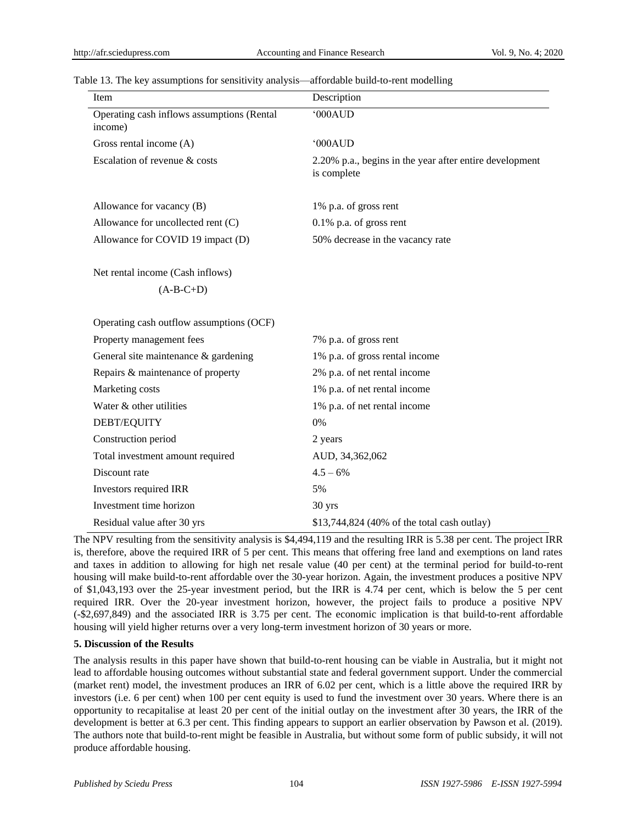| Item                                                  | Description                                                                                                                                                                                                                                                                                                                                                      |
|-------------------------------------------------------|------------------------------------------------------------------------------------------------------------------------------------------------------------------------------------------------------------------------------------------------------------------------------------------------------------------------------------------------------------------|
| Operating cash inflows assumptions (Rental<br>income) | '000AUD                                                                                                                                                                                                                                                                                                                                                          |
| Gross rental income (A)                               | '000AUD                                                                                                                                                                                                                                                                                                                                                          |
| Escalation of revenue & costs                         | 2.20% p.a., begins in the year after entire development<br>is complete                                                                                                                                                                                                                                                                                           |
| Allowance for vacancy (B)                             | 1% p.a. of gross rent                                                                                                                                                                                                                                                                                                                                            |
| Allowance for uncollected rent (C)                    | $0.1\%$ p.a. of gross rent                                                                                                                                                                                                                                                                                                                                       |
| Allowance for COVID 19 impact (D)                     | 50% decrease in the vacancy rate                                                                                                                                                                                                                                                                                                                                 |
| Net rental income (Cash inflows)                      |                                                                                                                                                                                                                                                                                                                                                                  |
| $(A-B-C+D)$                                           |                                                                                                                                                                                                                                                                                                                                                                  |
| Operating cash outflow assumptions (OCF)              |                                                                                                                                                                                                                                                                                                                                                                  |
| Property management fees                              | 7% p.a. of gross rent                                                                                                                                                                                                                                                                                                                                            |
| General site maintenance & gardening                  | 1% p.a. of gross rental income                                                                                                                                                                                                                                                                                                                                   |
| Repairs & maintenance of property                     | 2% p.a. of net rental income                                                                                                                                                                                                                                                                                                                                     |
| Marketing costs                                       | 1% p.a. of net rental income                                                                                                                                                                                                                                                                                                                                     |
| Water & other utilities                               | 1% p.a. of net rental income                                                                                                                                                                                                                                                                                                                                     |
| DEBT/EQUITY                                           | 0%                                                                                                                                                                                                                                                                                                                                                               |
| Construction period                                   | 2 years                                                                                                                                                                                                                                                                                                                                                          |
| Total investment amount required                      | AUD, 34,362,062                                                                                                                                                                                                                                                                                                                                                  |
| Discount rate                                         | $4.5 - 6%$                                                                                                                                                                                                                                                                                                                                                       |
| Investors required IRR                                | 5%                                                                                                                                                                                                                                                                                                                                                               |
| Investment time horizon                               | 30 yrs                                                                                                                                                                                                                                                                                                                                                           |
| Residual value after 30 yrs<br>$\cdots$               | \$13,744,824 (40% of the total cash outlay)<br>$\ddot{ }$ $\ddot{ }$ $\ddot{ }$ $\ddot{ }$ $\ddot{ }$ $\ddot{ }$ $\ddot{ }$ $\ddot{ }$ $\ddot{ }$ $\ddot{ }$ $\ddot{ }$ $\ddot{ }$ $\ddot{ }$ $\ddot{ }$ $\ddot{ }$ $\ddot{ }$ $\ddot{ }$ $\ddot{ }$ $\ddot{ }$ $\ddot{ }$ $\ddot{ }$ $\ddot{ }$ $\ddot{ }$ $\ddot{ }$ $\ddot{ }$ $\ddot{ }$ $\ddot{ }$ $\ddot{$ |

Table 13. The key assumptions for sensitivity analysis—affordable build-to-rent modelling

The NPV resulting from the sensitivity analysis is \$4,494,119 and the resulting IRR is 5.38 per cent. The project IRR is, therefore, above the required IRR of 5 per cent. This means that offering free land and exemptions on land rates and taxes in addition to allowing for high net resale value (40 per cent) at the terminal period for build-to-rent housing will make build-to-rent affordable over the 30-year horizon. Again, the investment produces a positive NPV of \$1,043,193 over the 25-year investment period, but the IRR is 4.74 per cent, which is below the 5 per cent required IRR. Over the 20-year investment horizon, however, the project fails to produce a positive NPV (-\$2,697,849) and the associated IRR is 3.75 per cent. The economic implication is that build-to-rent affordable housing will yield higher returns over a very long-term investment horizon of 30 years or more.

## **5. Discussion of the Results**

The analysis results in this paper have shown that build-to-rent housing can be viable in Australia, but it might not lead to affordable housing outcomes without substantial state and federal government support. Under the commercial (market rent) model, the investment produces an IRR of 6.02 per cent, which is a little above the required IRR by investors (i.e. 6 per cent) when 100 per cent equity is used to fund the investment over 30 years. Where there is an opportunity to recapitalise at least 20 per cent of the initial outlay on the investment after 30 years, the IRR of the development is better at 6.3 per cent. This finding appears to support an earlier observation by Pawson et al. (2019). The authors note that build-to-rent might be feasible in Australia, but without some form of public subsidy, it will not produce affordable housing.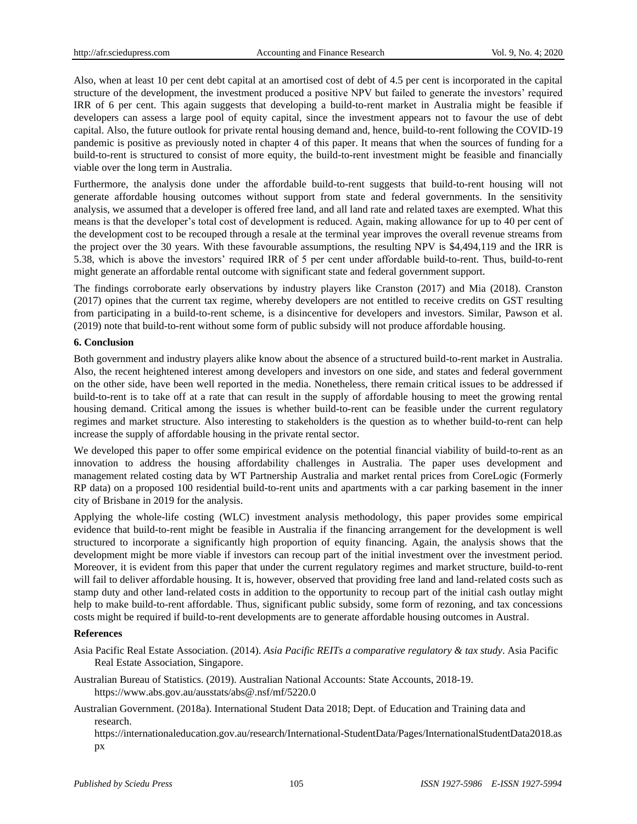Also, when at least 10 per cent debt capital at an amortised cost of debt of 4.5 per cent is incorporated in the capital structure of the development, the investment produced a positive NPV but failed to generate the investors' required IRR of 6 per cent. This again suggests that developing a build-to-rent market in Australia might be feasible if developers can assess a large pool of equity capital, since the investment appears not to favour the use of debt capital. Also, the future outlook for private rental housing demand and, hence, build-to-rent following the COVID-19 pandemic is positive as previously noted in chapter 4 of this paper. It means that when the sources of funding for a build-to-rent is structured to consist of more equity, the build-to-rent investment might be feasible and financially viable over the long term in Australia.

Furthermore, the analysis done under the affordable build-to-rent suggests that build-to-rent housing will not generate affordable housing outcomes without support from state and federal governments. In the sensitivity analysis, we assumed that a developer is offered free land, and all land rate and related taxes are exempted. What this means is that the developer's total cost of development is reduced. Again, making allowance for up to 40 per cent of the development cost to be recouped through a resale at the terminal year improves the overall revenue streams from the project over the 30 years. With these favourable assumptions, the resulting NPV is \$4,494,119 and the IRR is 5.38, which is above the investors' required IRR of 5 per cent under affordable build-to-rent. Thus, build-to-rent might generate an affordable rental outcome with significant state and federal government support.

The findings corroborate early observations by industry players like Cranston (2017) and Mia (2018). Cranston (2017) opines that the current tax regime, whereby developers are not entitled to receive credits on GST resulting from participating in a build-to-rent scheme, is a disincentive for developers and investors. Similar, Pawson et al. (2019) note that build-to-rent without some form of public subsidy will not produce affordable housing.

## **6. Conclusion**

Both government and industry players alike know about the absence of a structured build-to-rent market in Australia. Also, the recent heightened interest among developers and investors on one side, and states and federal government on the other side, have been well reported in the media. Nonetheless, there remain critical issues to be addressed if build-to-rent is to take off at a rate that can result in the supply of affordable housing to meet the growing rental housing demand. Critical among the issues is whether build-to-rent can be feasible under the current regulatory regimes and market structure. Also interesting to stakeholders is the question as to whether build-to-rent can help increase the supply of affordable housing in the private rental sector.

We developed this paper to offer some empirical evidence on the potential financial viability of build-to-rent as an innovation to address the housing affordability challenges in Australia. The paper uses development and management related costing data by WT Partnership Australia and market rental prices from CoreLogic (Formerly RP data) on a proposed 100 residential build-to-rent units and apartments with a car parking basement in the inner city of Brisbane in 2019 for the analysis.

Applying the whole-life costing (WLC) investment analysis methodology, this paper provides some empirical evidence that build-to-rent might be feasible in Australia if the financing arrangement for the development is well structured to incorporate a significantly high proportion of equity financing. Again, the analysis shows that the development might be more viable if investors can recoup part of the initial investment over the investment period. Moreover, it is evident from this paper that under the current regulatory regimes and market structure, build-to-rent will fail to deliver affordable housing. It is, however, observed that providing free land and land-related costs such as stamp duty and other land-related costs in addition to the opportunity to recoup part of the initial cash outlay might help to make build-to-rent affordable. Thus, significant public subsidy, some form of rezoning, and tax concessions costs might be required if build-to-rent developments are to generate affordable housing outcomes in Austral.

## **References**

Asia Pacific Real Estate Association. (2014). *Asia Pacific REITs a comparative regulatory & tax study*. Asia Pacific Real Estate Association, Singapore.

Australian Bureau of Statistics. (2019). Australian National Accounts: State Accounts, 2018-19. <https://www.abs.gov.au/ausstats/abs@.nsf/mf/5220.0>

Australian Government. (2018a). International Student Data 2018; Dept. of Education and Training data and research.

[https://internationaleducation.gov.au/research/I](https://internationaleducation.gov.au/research/)nternational-StudentData/Pages/InternationalStudentData2018.as px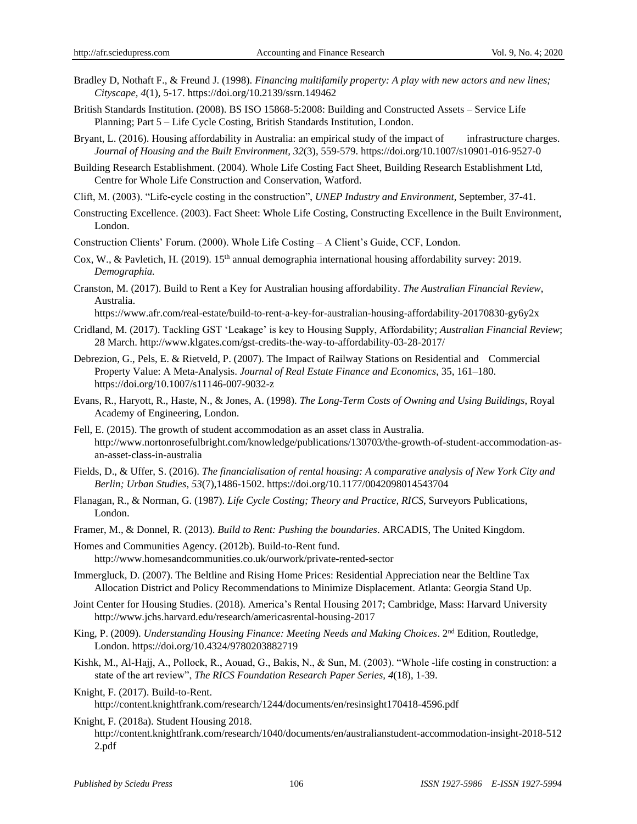- Bradley D, Nothaft F., & Freund J. (1998). *Financing multifamily property: A play with new actors and new lines; Cityscape, 4*(1), 5-17. https://doi.org/10.2139/ssrn.149462
- British Standards Institution. (2008). BS ISO 15868-5:2008: Building and Constructed Assets Service Life Planning; Part 5 – Life Cycle Costing, British Standards Institution, London.
- Bryant, L. (2016). Housing affordability in Australia: an empirical study of the impact of infrastructure charges. *Journal of Housing and the Built Environment, 32*(3), 559-579. https://doi.org/10.1007/s10901-016-9527-0
- Building Research Establishment. (2004). Whole Life Costing Fact Sheet, Building Research Establishment Ltd, Centre for Whole Life Construction and Conservation, Watford.
- Clift, M. (2003). "Life-cycle costing in the construction", *UNEP Industry and Environment*, September, 37-41.
- Constructing Excellence. (2003). Fact Sheet: Whole Life Costing, Constructing Excellence in the Built Environment, London.
- Construction Clients' Forum. (2000). Whole Life Costing A Client's Guide, CCF, London.
- Cox, W., & Pavletich, H. (2019). 15<sup>th</sup> annual demographia international housing affordability survey: 2019. *Demographia.*
- Cranston, M. (2017). Build to Rent a Key for Australian housing affordability. *The Australian Financial Review*, Australia.

<https://www.afr.com/real-estate/build-to-rent-a-key-for-australian-housing-affordability-20170830-gy6y2x>

- Cridland, M. (2017). Tackling GST 'Leakage' is key to Housing Supply, Affordability; *Australian Financial Review*; 28 March[. http://www.klgates.com/gst-credits-the-way-to-affordability-03-28-2017/](http://www.klgates.com/gst-credits-the-way-to-affordability-03-28-2017/)
- Debrezion, G., Pels, E. & Rietveld, P. (2007). The Impact of Railway Stations on Residential and Commercial Property Value: A Meta-Analysis. *Journal of Real Estate Finance and Economics*, 35, 161–180. <https://doi.org/10.1007/s11146-007-9032-z>
- Evans, R., Haryott, R., Haste, N., & Jones, A. (1998). *The Long-Term Costs of Owning and Using Buildings*, Royal Academy of Engineering, London.
- Fell, E. (2015). The growth of student accommodation as an asset class in Australia. [http://www.nortonrosefulbright.com/knowledge/publications/130703/the-growth-of-student-a](http://www.nortonrosefulbright.com/knowledge/publications/130703/the-growth-of-student-)ccommodation-asan-asset-class-in-australia
- Fields, D., & Uffer, S. (2016). *The financialisation of rental housing: A comparative analysis of New York City and Berlin; Urban Studies, 53*(7),1486-1502[. https://doi.org/10.1177/0042098014543704](https://doi.org/10.1177/0042098014543704)
- Flanagan, R., & Norman, G. (1987). *Life Cycle Costing; Theory and Practice, RICS*, Surveyors Publications, London.
- Framer, M., & Donnel, R. (2013). *Build to Rent: Pushing the boundaries*. ARCADIS, The United Kingdom.
- Homes and Communities Agency. (2012b). Build-to-Rent fund. <http://www.homesandcommunities.co.uk/ourwork/private-rented-sector>
- Immergluck, D. (2007). The Beltline and Rising Home Prices: Residential Appreciation near the Beltline Tax Allocation District and Policy Recommendations to Minimize Displacement. Atlanta: Georgia Stand Up.
- Joint Center for Housing Studies. (2018). America's Rental Housing 2017; Cambridge, Mass: Harvard University http:/[/www.jchs.harvard.edu/research/americasrental-housing-2017](http://www.jchs.harvard.edu/research/americasrental-housing-2017)
- King, P. (2009). *Understanding Housing Finance: Meeting Needs and Making Choices*. 2nd Edition, Routledge, London. https://doi.org/10.4324/9780203882719
- Kishk, M., Al-Hajj, A., Pollock, R., Aouad, G., Bakis, N., & Sun, M. (2003). "Whole -life costing in construction: a state of the art review", *The RICS Foundation Research Paper Series, 4*(18), 1-39.
- Knight, F. (2017). Build-to-Rent.

[http://content.knightfrank.com/research/1244/d](http://content.knightfrank.com/research/1244/)ocuments/en/resinsight170418-4596.pdf

- Knight, F. (2018a). Student Housing 2018.
	- [http://content.knightfrank.com/research/1040/documents/en/australianstudent-a](http://content.knightfrank.com/research/1040/documents/en/australianstudent-)ccommodation-insight-2018-512 2.pdf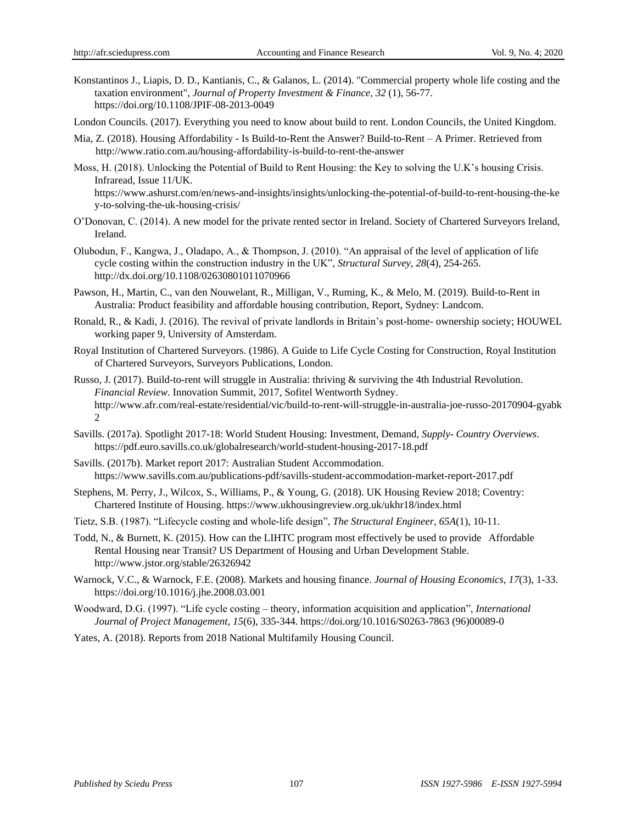- Konstantinos J., Liapis, D. D., Kantianis, C., & Galanos, L. (2014). "Commercial property whole life costing and the taxation environment", *Journal of Property Investment & Finance, 32* (1), 56-77. <https://doi.org/10.1108/JPIF-08-2013-0049>
- London Councils. (2017). Everything you need to know about build to rent. London Councils, the United Kingdom.
- [Mia, Z.](mailto:miaz@ratio.com.au?subject=Build%20to%20Rent) (2018). Housing Affordability Is Build-to-Rent the Answer? Build-to-Rent A Primer. Retrieved from <http://www.ratio.com.au/housing-affordability-is-build-to-rent-the-answer>
- Moss, H. (2018). Unlocking the Potential of Build to Rent Housing: the Key to solving the U.K's housing Crisis. Infraread, Issue 11/UK. [https://www.ashurst.com/en/news-and-insights/insights/unlocking-the-potential-of-build-to-rent-housing-the-ke](https://www.ashurst.com/en/news-and-insights/insights/unlocking-the-potential-of-build-to-rent-housing-the-key-to-solving-the-uk-housing-crisis/)

[y-to-solving-the-uk-housing-crisis/](https://www.ashurst.com/en/news-and-insights/insights/unlocking-the-potential-of-build-to-rent-housing-the-key-to-solving-the-uk-housing-crisis/)

- O'Donovan, C. (2014). A new model for the private rented sector in Ireland. Society of Chartered Surveyors Ireland, Ireland.
- Olubodun, F., Kangwa, J., Oladapo, A., & Thompson, J. (2010). "An appraisal of the level of application of life cycle costing within the construction industry in the UK", *Structural Survey, 28*(4), 254-265. <http://dx.doi.org/10.1108/02630801011070966>
- Pawson, H., Martin, C., van den Nouwelant, R., Milligan, V., Ruming, K., & Melo, M. (2019). Build-to-Rent in Australia: Product feasibility and affordable housing contribution, Report, Sydney: Landcom.
- Ronald, R., & Kadi, J. (2016). The revival of private landlords in Britain's post-home- ownership society; HOUWEL working paper 9, University of Amsterdam.
- Royal Institution of Chartered Surveyors. (1986). A Guide to Life Cycle Costing for Construction, Royal Institution of Chartered Surveyors, Surveyors Publications, London.
- Russo, J. (2017). Build-to-rent will struggle in Australia: thriving & surviving the 4th Industrial Revolution. *Financial Review*. Innovation Summit, 2017, Sofitel Wentworth Sydney. [http://www.afr.com/real-estate/residential/vic/build-to-rent-will-struggle-in-australia-joe-russo-20170904-gyabk](http://www.afr.com/real-estate/residential/vic/build-to-rent-will-struggle-in-australia-joe-russo-20170904-gyabk2) [2](http://www.afr.com/real-estate/residential/vic/build-to-rent-will-struggle-in-australia-joe-russo-20170904-gyabk2)
- Savills. (2017a). Spotlight 2017-18: World Student Housing: Investment, Demand, *Supply- Country Overviews*. [https://pdf.euro.savills.co.uk/globalresearch/world-student-h](https://pdf.euro.savills.co.uk/globalresearch/world-student-)ousing-2017-18.pdf
- Savills. (2017b). Market report 2017: Australian Student Accommodation. [https://www.savills.com.au/publications-pdf/savills-student-accommodation-market-report-2](https://www.savills.com.au/publications-pdf/savills-student-accommodation-market-report-)017.pdf
- Stephens, M. Perry, J., Wilcox, S., Williams, P., & Young, G. (2018). UK Housing Review 2018; Coventry: Chartered Institute of Housing. https://www.ukhousingreview.org.uk/ukhr18/index.html
- Tietz, S.B. (1987). "Lifecycle costing and whole-life design", *The Structural Engineer, 65A*(1), 10-11.
- Todd, N., & Burnett, K. (2015). How can the LIHTC program most effectively be used to provide Affordable Rental Housing near Transit? US Department of Housing and Urban Development Stable. <http://www.jstor.org/stable/26326942>
- Warnock, V.C., & Warnock, F.E. (2008). Markets and housing finance. *Journal of Housing Economics, 17*(3), 1-33. https://doi.org/10.1016/j.jhe.2008.03.001
- Woodward, D.G. (1997). "Life cycle costing theory, information acquisition and application", *International Journal of Project Management, 15*(6), 335-344. https://doi.org/10.1016/S0263-7863 (96)00089-0

Yates, A. (2018). Reports from 2018 National Multifamily Housing Council.